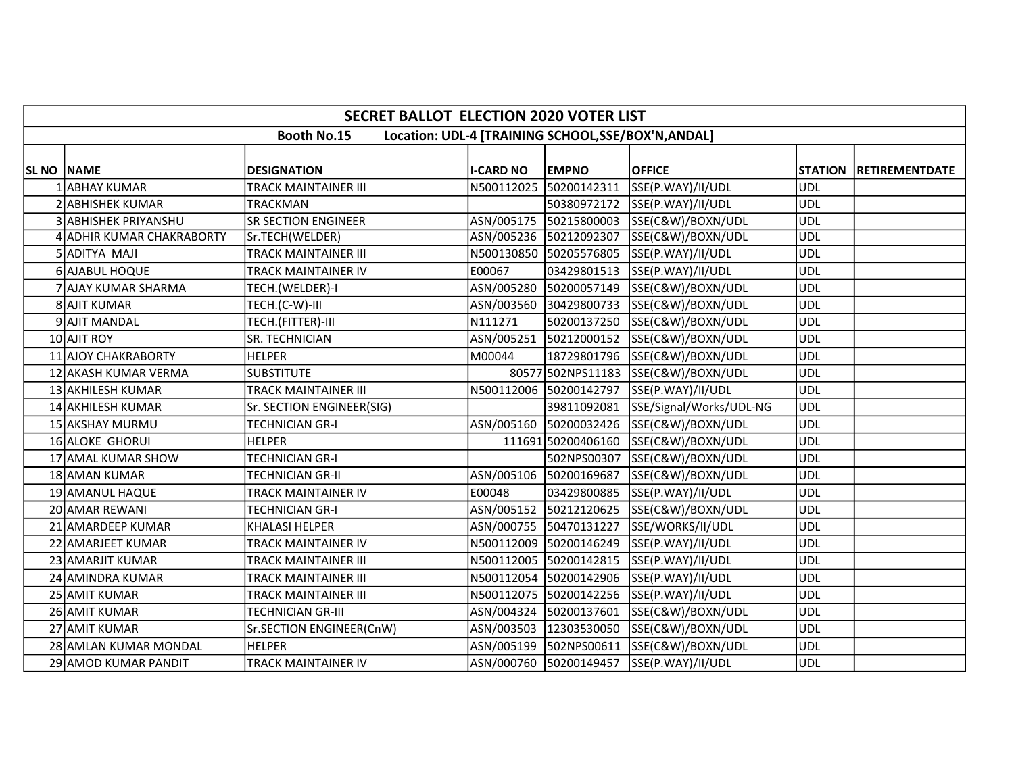|                   | <b>SECRET BALLOT ELECTION 2020 VOTER LIST</b>                             |                             |                  |                        |                                          |            |                        |  |  |  |  |
|-------------------|---------------------------------------------------------------------------|-----------------------------|------------------|------------------------|------------------------------------------|------------|------------------------|--|--|--|--|
|                   | <b>Booth No.15</b><br>Location: UDL-4 [TRAINING SCHOOL, SSE/BOX'N, ANDAL] |                             |                  |                        |                                          |            |                        |  |  |  |  |
| <b>SL NO NAME</b> |                                                                           | <b>DESIGNATION</b>          | <b>I-CARD NO</b> | <b>EMPNO</b>           | <b>OFFICE</b>                            |            | STATION RETIREMENTDATE |  |  |  |  |
|                   | 1 ABHAY KUMAR                                                             | TRACK MAINTAINER III        | N500112025       | 50200142311            | SSE(P.WAY)/II/UDL                        | <b>UDL</b> |                        |  |  |  |  |
|                   | 2 ABHISHEK KUMAR                                                          | <b>TRACKMAN</b>             |                  |                        | 50380972172 SSE(P.WAY)/II/UDL            | <b>UDL</b> |                        |  |  |  |  |
|                   | 3 ABHISHEK PRIYANSHU                                                      | <b>SR SECTION ENGINEER</b>  | ASN/005175       |                        | 50215800003 SSE(C&W)/BOXN/UDL            | <b>UDL</b> |                        |  |  |  |  |
|                   | 4 ADHIR KUMAR CHAKRABORTY                                                 | Sr.TECH(WELDER)             |                  |                        | ASN/005236 50212092307 SSE(C&W)/BOXN/UDL | <b>UDL</b> |                        |  |  |  |  |
|                   | 5 ADITYA MAJI                                                             | <b>TRACK MAINTAINER III</b> |                  |                        | N500130850 50205576805 SSE(P.WAY)/II/UDL | <b>UDL</b> |                        |  |  |  |  |
|                   | 6 AJABUL HOQUE                                                            | TRACK MAINTAINER IV         | E00067           |                        | 03429801513 SSE(P.WAY)/II/UDL            | <b>UDL</b> |                        |  |  |  |  |
|                   | 7 AJAY KUMAR SHARMA                                                       | TECH.(WELDER)-I             | ASN/005280       |                        | 50200057149 SSE(C&W)/BOXN/UDL            | <b>UDL</b> |                        |  |  |  |  |
|                   | 8 AJIT KUMAR                                                              | TECH.(C-W)-III              | ASN/003560       |                        | 30429800733 SSE(C&W)/BOXN/UDL            | <b>UDL</b> |                        |  |  |  |  |
|                   | 9 AJIT MANDAL                                                             | TECH.(FITTER)-III           | N111271          |                        | 50200137250 SSE(C&W)/BOXN/UDL            | <b>UDL</b> |                        |  |  |  |  |
|                   | 10 AJIT ROY                                                               | SR. TECHNICIAN              | ASN/005251       |                        | 50212000152 SSE(C&W)/BOXN/UDL            | <b>UDL</b> |                        |  |  |  |  |
|                   | 11 AJOY CHAKRABORTY                                                       | <b>HELPER</b>               | M00044           |                        | 18729801796 SSE(C&W)/BOXN/UDL            | <b>UDL</b> |                        |  |  |  |  |
|                   | 12 AKASH KUMAR VERMA                                                      | <b>SUBSTITUTE</b>           |                  |                        | 80577 502NPS11183 SSE(C&W)/BOXN/UDL      | <b>UDL</b> |                        |  |  |  |  |
|                   | 13 AKHILESH KUMAR                                                         | <b>TRACK MAINTAINER III</b> |                  |                        | N500112006 50200142797 SSE(P.WAY)/II/UDL | <b>UDL</b> |                        |  |  |  |  |
|                   | 14 AKHILESH KUMAR                                                         | Sr. SECTION ENGINEER(SIG)   |                  | 39811092081            | SSE/Signal/Works/UDL-NG                  | <b>UDL</b> |                        |  |  |  |  |
|                   | 15 AKSHAY MURMU                                                           | <b>TECHNICIAN GR-I</b>      | ASN/005160       |                        | 50200032426 SSE(C&W)/BOXN/UDL            | <b>UDL</b> |                        |  |  |  |  |
|                   | 16 ALOKE GHORUI                                                           | <b>HELPER</b>               |                  |                        | 111691 50200406160 SSE(C&W)/BOXN/UDL     | <b>UDL</b> |                        |  |  |  |  |
|                   | 17 AMAL KUMAR SHOW                                                        | <b>TECHNICIAN GR-I</b>      |                  |                        | 502NPS00307 SSE(C&W)/BOXN/UDL            | <b>UDL</b> |                        |  |  |  |  |
|                   | 18 AMAN KUMAR                                                             | <b>TECHNICIAN GR-II</b>     |                  |                        | ASN/005106 50200169687 SSE(C&W)/BOXN/UDL | <b>UDL</b> |                        |  |  |  |  |
|                   | 19 AMANUL HAQUE                                                           | TRACK MAINTAINER IV         | E00048           |                        | 03429800885 SSE(P.WAY)/II/UDL            | <b>UDL</b> |                        |  |  |  |  |
|                   | 20 AMAR REWANI                                                            | <b>TECHNICIAN GR-I</b>      |                  |                        | ASN/005152 50212120625 SSE(C&W)/BOXN/UDL | <b>UDL</b> |                        |  |  |  |  |
|                   | 21 AMARDEEP KUMAR                                                         | <b>KHALASI HELPER</b>       |                  | ASN/000755 50470131227 | SSE/WORKS/II/UDL                         | UDL        |                        |  |  |  |  |
|                   | 22 AMARJEET KUMAR                                                         | <b>TRACK MAINTAINER IV</b>  |                  |                        | N500112009 50200146249 SSE(P.WAY)/II/UDL | <b>UDL</b> |                        |  |  |  |  |
|                   | 23 AMARJIT KUMAR                                                          | <b>TRACK MAINTAINER III</b> | N500112005       | 50200142815            | SSE(P.WAY)/II/UDL                        | <b>UDL</b> |                        |  |  |  |  |
|                   | 24 AMINDRA KUMAR                                                          | <b>TRACK MAINTAINER III</b> |                  |                        | N500112054 50200142906 SSE(P.WAY)/II/UDL | <b>UDL</b> |                        |  |  |  |  |
|                   | 25 AMIT KUMAR                                                             | <b>TRACK MAINTAINER III</b> |                  |                        | N500112075 50200142256 SSE(P.WAY)/II/UDL | <b>UDL</b> |                        |  |  |  |  |
|                   | 26 AMIT KUMAR                                                             | TECHNICIAN GR-III           |                  |                        | ASN/004324 50200137601 SSE(C&W)/BOXN/UDL | <b>UDL</b> |                        |  |  |  |  |
|                   | 27 AMIT KUMAR                                                             | Sr.SECTION ENGINEER(CnW)    |                  | ASN/003503 12303530050 | SSE(C&W)/BOXN/UDL                        | <b>UDL</b> |                        |  |  |  |  |
|                   | 28 AMLAN KUMAR MONDAL                                                     | <b>HELPER</b>               |                  |                        | ASN/005199 502NPS00611 SSE(C&W)/BOXN/UDL | <b>UDL</b> |                        |  |  |  |  |
|                   | 29 AMOD KUMAR PANDIT                                                      | <b>TRACK MAINTAINER IV</b>  |                  |                        | ASN/000760 50200149457 SSE(P.WAY)/II/UDL | <b>UDL</b> |                        |  |  |  |  |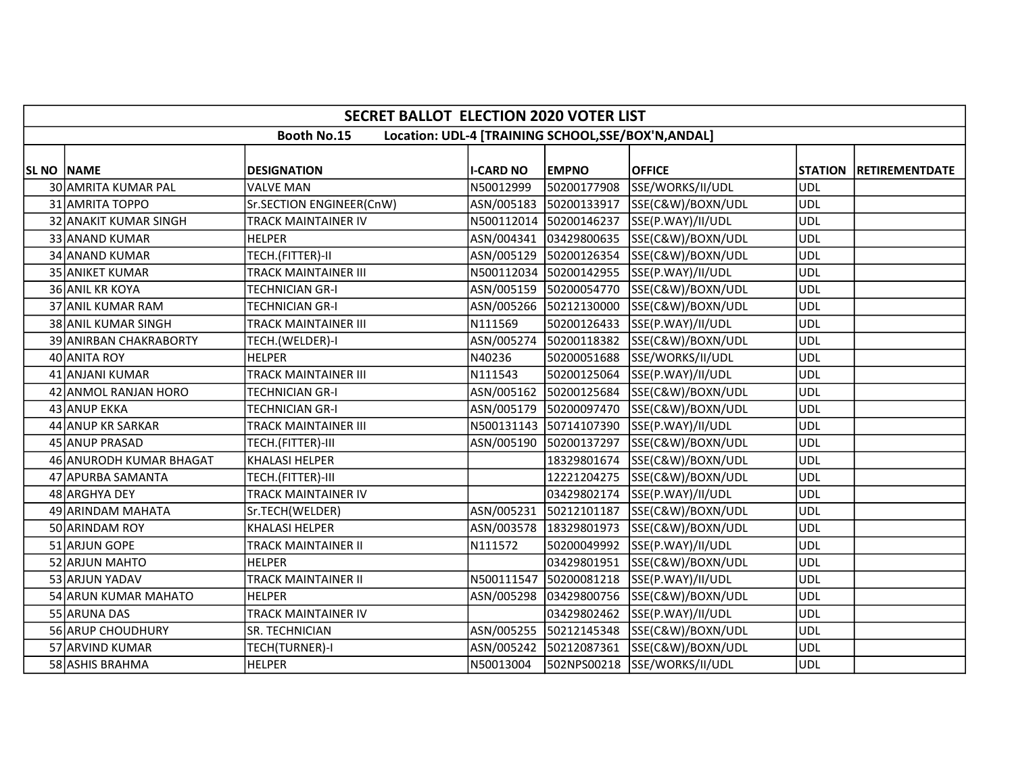|                   | <b>SECRET BALLOT ELECTION 2020 VOTER LIST</b>                             |                             |                  |                        |                                            |            |                        |  |  |  |
|-------------------|---------------------------------------------------------------------------|-----------------------------|------------------|------------------------|--------------------------------------------|------------|------------------------|--|--|--|
|                   | <b>Booth No.15</b><br>Location: UDL-4 [TRAINING SCHOOL, SSE/BOX'N, ANDAL] |                             |                  |                        |                                            |            |                        |  |  |  |
| <b>SL NO NAME</b> |                                                                           | <b>DESIGNATION</b>          | <b>I-CARD NO</b> | <b>EMPNO</b>           | <b>OFFICE</b>                              |            | STATION RETIREMENTDATE |  |  |  |
|                   | 30 AMRITA KUMAR PAL                                                       | <b>VALVE MAN</b>            | N50012999        | 50200177908            | SSE/WORKS/II/UDL                           | <b>UDL</b> |                        |  |  |  |
|                   | 31 AMRITA TOPPO                                                           | Sr.SECTION ENGINEER(CnW)    |                  |                        | ASN/005183 50200133917 SSE(C&W)/BOXN/UDL   | <b>UDL</b> |                        |  |  |  |
|                   | 32 ANAKIT KUMAR SINGH                                                     | <b>TRACK MAINTAINER IV</b>  |                  |                        | N500112014 50200146237 SSE(P.WAY)/II/UDL   | <b>UDL</b> |                        |  |  |  |
|                   | 33 ANAND KUMAR                                                            | <b>HELPER</b>               |                  |                        | ASN/004341 03429800635 SSE(C&W)/BOXN/UDL   | <b>UDL</b> |                        |  |  |  |
|                   | 34 ANAND KUMAR                                                            | TECH.(FITTER)-II            |                  |                        | ASN/005129 50200126354 SSE(C&W)/BOXN/UDL   | <b>UDL</b> |                        |  |  |  |
|                   | 35 ANIKET KUMAR                                                           | <b>TRACK MAINTAINER III</b> |                  |                        | N500112034 50200142955 SSE(P.WAY)/II/UDL   | <b>UDL</b> |                        |  |  |  |
|                   | 36 ANIL KR KOYA                                                           | <b>TECHNICIAN GR-I</b>      |                  | ASN/005159 50200054770 | SSE(C&W)/BOXN/UDL                          | <b>UDL</b> |                        |  |  |  |
|                   | 37 ANIL KUMAR RAM                                                         | <b>TECHNICIAN GR-I</b>      |                  |                        | ASN/005266 50212130000 SSE(C&W)/BOXN/UDL   | UDL        |                        |  |  |  |
|                   | 38 ANIL KUMAR SINGH                                                       | TRACK MAINTAINER III        | N111569          |                        | 50200126433 SSE(P.WAY)/II/UDL              | <b>UDL</b> |                        |  |  |  |
|                   | 39 ANIRBAN CHAKRABORTY                                                    | TECH.(WELDER)-I             | ASN/005274       |                        | 50200118382 SSE(C&W)/BOXN/UDL              | <b>UDL</b> |                        |  |  |  |
|                   | 40 ANITA ROY                                                              | <b>HELPER</b>               | N40236           |                        | 50200051688 SSE/WORKS/II/UDL               | <b>UDL</b> |                        |  |  |  |
|                   | 41 ANJANI KUMAR                                                           | <b>TRACK MAINTAINER III</b> | N111543          |                        | 50200125064 SSE(P.WAY)/II/UDL              | <b>UDL</b> |                        |  |  |  |
|                   | 42 ANMOL RANJAN HORO                                                      | <b>TECHNICIAN GR-I</b>      |                  |                        | ASN/005162 50200125684 SSE(C&W)/BOXN/UDL   | <b>UDL</b> |                        |  |  |  |
|                   | 43 ANUP EKKA                                                              | TECHNICIAN GR-I             |                  |                        | ASN/005179 50200097470 SSE(C&W)/BOXN/UDL   | <b>UDL</b> |                        |  |  |  |
|                   | 44 ANUP KR SARKAR                                                         | TRACK MAINTAINER III        |                  |                        | N500131143 50714107390 SSE(P.WAY)/II/UDL   | <b>UDL</b> |                        |  |  |  |
|                   | 45 ANUP PRASAD                                                            | TECH.(FITTER)-III           |                  | ASN/005190 50200137297 | SSE(C&W)/BOXN/UDL                          | <b>UDL</b> |                        |  |  |  |
|                   | 46 ANURODH KUMAR BHAGAT                                                   | <b>KHALASI HELPER</b>       |                  |                        | 18329801674 SSE(C&W)/BOXN/UDL              | ludl       |                        |  |  |  |
|                   | 47 APURBA SAMANTA                                                         | TECH.(FITTER)-III           |                  |                        | 12221204275 SSE(C&W)/BOXN/UDL              | <b>UDL</b> |                        |  |  |  |
|                   | 48 ARGHYA DEY                                                             | TRACK MAINTAINER IV         |                  |                        | 03429802174 SSE(P.WAY)/II/UDL              | <b>UDL</b> |                        |  |  |  |
|                   | 49 ARINDAM MAHATA                                                         | Sr.TECH(WELDER)             |                  |                        | ASN/005231 50212101187 SSE(C&W)/BOXN/UDL   | <b>UDL</b> |                        |  |  |  |
|                   | 50 ARINDAM ROY                                                            | <b>KHALASI HELPER</b>       |                  |                        | ASN/003578  18329801973  SSE(C&W)/BOXN/UDL | <b>UDL</b> |                        |  |  |  |
|                   | 51 ARJUN GOPE                                                             | TRACK MAINTAINER II         | N111572          |                        | 50200049992 SSE(P.WAY)/II/UDL              | <b>UDL</b> |                        |  |  |  |
|                   | 52 ARJUN MAHTO                                                            | <b>HELPER</b>               |                  | 03429801951            | SSE(C&W)/BOXN/UDL                          | <b>UDL</b> |                        |  |  |  |
|                   | 53 ARJUN YADAV                                                            | TRACK MAINTAINER II         |                  | N500111547 50200081218 | SSE(P.WAY)/II/UDL                          | <b>UDL</b> |                        |  |  |  |
|                   | 54 ARUN KUMAR MAHATO                                                      | <b>HELPER</b>               |                  |                        | ASN/005298 03429800756 SSE(C&W)/BOXN/UDL   | <b>UDL</b> |                        |  |  |  |
|                   | 55 ARUNA DAS                                                              | <b>TRACK MAINTAINER IV</b>  |                  |                        | 03429802462 SSE(P.WAY)/II/UDL              | <b>UDL</b> |                        |  |  |  |
|                   | 56 ARUP CHOUDHURY                                                         | SR. TECHNICIAN              |                  |                        | ASN/005255 50212145348 SSE(C&W)/BOXN/UDL   | <b>UDL</b> |                        |  |  |  |
|                   | 57 ARVIND KUMAR                                                           | TECH(TURNER)-I              |                  | ASN/005242 50212087361 | SSE(C&W)/BOXN/UDL                          | <b>UDL</b> |                        |  |  |  |
|                   | 58 ASHIS BRAHMA                                                           | <b>HELPER</b>               | N50013004        |                        | 502NPS00218 SSE/WORKS/II/UDL               | <b>UDL</b> |                        |  |  |  |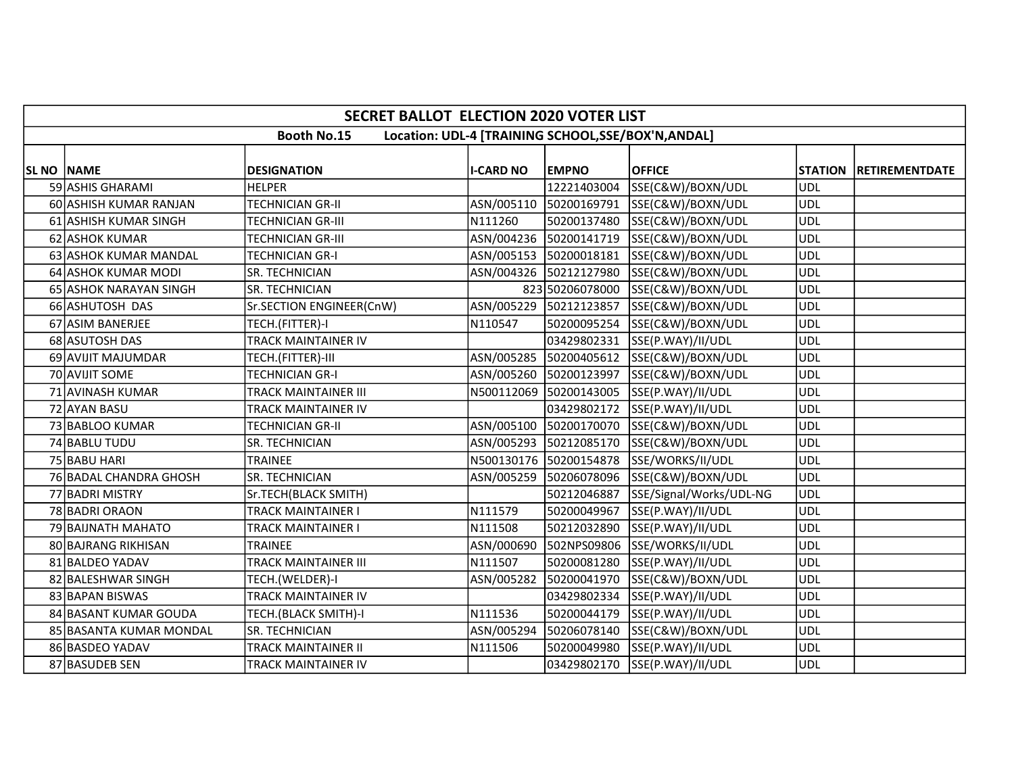|                   | <b>SECRET BALLOT ELECTION 2020 VOTER LIST</b>                             |                            |                  |                        |                                          |            |                        |  |  |  |  |
|-------------------|---------------------------------------------------------------------------|----------------------------|------------------|------------------------|------------------------------------------|------------|------------------------|--|--|--|--|
|                   | <b>Booth No.15</b><br>Location: UDL-4 [TRAINING SCHOOL, SSE/BOX'N, ANDAL] |                            |                  |                        |                                          |            |                        |  |  |  |  |
|                   |                                                                           |                            |                  |                        |                                          |            |                        |  |  |  |  |
| <b>SL NO NAME</b> |                                                                           | <b>DESIGNATION</b>         | <b>I-CARD NO</b> | <b>EMPNO</b>           | <b>OFFICE</b>                            |            | STATION RETIREMENTDATE |  |  |  |  |
|                   | 59 ASHIS GHARAMI                                                          | <b>HELPER</b>              |                  | 12221403004            | SSE(C&W)/BOXN/UDL                        | <b>UDL</b> |                        |  |  |  |  |
|                   | 60 ASHISH KUMAR RANJAN                                                    | <b>TECHNICIAN GR-II</b>    |                  |                        | ASN/005110 50200169791 SSE(C&W)/BOXN/UDL | <b>UDL</b> |                        |  |  |  |  |
|                   | 61 ASHISH KUMAR SINGH                                                     | TECHNICIAN GR-III          | N111260          |                        | 50200137480 SSE(C&W)/BOXN/UDL            | <b>UDL</b> |                        |  |  |  |  |
|                   | 62 ASHOK KUMAR                                                            | <b>TECHNICIAN GR-III</b>   |                  |                        | ASN/004236 50200141719 SSE(C&W)/BOXN/UDL | <b>UDL</b> |                        |  |  |  |  |
|                   | 63 ASHOK KUMAR MANDAL                                                     | TECHNICIAN GR-I            |                  | ASN/005153 50200018181 | SSE(C&W)/BOXN/UDL                        | <b>UDL</b> |                        |  |  |  |  |
|                   | 64 ASHOK KUMAR MODI                                                       | SR. TECHNICIAN             |                  | ASN/004326 50212127980 | SSE(C&W)/BOXN/UDL                        | <b>UDL</b> |                        |  |  |  |  |
|                   | 65 ASHOK NARAYAN SINGH                                                    | SR. TECHNICIAN             |                  | 823 50206078000        | SSE(C&W)/BOXN/UDL                        | <b>UDL</b> |                        |  |  |  |  |
|                   | 66 ASHUTOSH DAS                                                           | Sr.SECTION ENGINEER(CnW)   |                  | ASN/005229 50212123857 | SSE(C&W)/BOXN/UDL                        | <b>UDL</b> |                        |  |  |  |  |
|                   | 67 ASIM BANERJEE                                                          | TECH.(FITTER)-I            | N110547          |                        | 50200095254 SSE(C&W)/BOXN/UDL            | <b>UDL</b> |                        |  |  |  |  |
|                   | 68 ASUTOSH DAS                                                            | TRACK MAINTAINER IV        |                  |                        | 03429802331 SSE(P.WAY)/II/UDL            | <b>UDL</b> |                        |  |  |  |  |
|                   | 69 AVIJIT MAJUMDAR                                                        | TECH.(FITTER)-III          |                  |                        | ASN/005285 50200405612 SSE(C&W)/BOXN/UDL | <b>UDL</b> |                        |  |  |  |  |
|                   | 70 AVIJIT SOME                                                            | TECHNICIAN GR-I            |                  | ASN/005260 50200123997 | SSE(C&W)/BOXN/UDL                        | <b>UDL</b> |                        |  |  |  |  |
|                   | 71 AVINASH KUMAR                                                          | TRACK MAINTAINER III       |                  |                        | N500112069 50200143005 SSE(P.WAY)/II/UDL | <b>UDL</b> |                        |  |  |  |  |
|                   | 72 AYAN BASU                                                              | TRACK MAINTAINER IV        |                  |                        | 03429802172 SSE(P.WAY)/II/UDL            | <b>UDL</b> |                        |  |  |  |  |
|                   | 73 BABLOO KUMAR                                                           | <b>TECHNICIAN GR-II</b>    |                  |                        | ASN/005100 50200170070 SSE(C&W)/BOXN/UDL | <b>UDL</b> |                        |  |  |  |  |
|                   | 74 BABLU TUDU                                                             | SR. TECHNICIAN             |                  |                        | ASN/005293 50212085170 SSE(C&W)/BOXN/UDL | <b>UDL</b> |                        |  |  |  |  |
|                   | 75 BABU HARI                                                              | <b>TRAINEE</b>             |                  |                        | N500130176 50200154878 SSE/WORKS/II/UDL  | ludl       |                        |  |  |  |  |
|                   | 76 BADAL CHANDRA GHOSH                                                    | SR. TECHNICIAN             |                  |                        | ASN/005259 50206078096 SSE(C&W)/BOXN/UDL | <b>UDL</b> |                        |  |  |  |  |
|                   | 77 BADRI MISTRY                                                           | Sr.TECH(BLACK SMITH)       |                  | 50212046887            | SSE/Signal/Works/UDL-NG                  | <b>UDL</b> |                        |  |  |  |  |
|                   | 78 BADRI ORAON                                                            | TRACK MAINTAINER I         | N111579          | 50200049967            | SSE(P.WAY)/II/UDL                        | <b>UDL</b> |                        |  |  |  |  |
|                   | 79 BAIJNATH MAHATO                                                        | TRACK MAINTAINER I         | N111508          |                        | 50212032890 SSE(P.WAY)/II/UDL            | <b>UDL</b> |                        |  |  |  |  |
|                   | 80 BAJRANG RIKHISAN                                                       | <b>TRAINEE</b>             | ASN/000690       |                        | 502NPS09806 SSE/WORKS/II/UDL             | <b>UDL</b> |                        |  |  |  |  |
|                   | 81 BALDEO YADAV                                                           | TRACK MAINTAINER III       | N111507          | 50200081280            | SSE(P.WAY)/II/UDL                        | <b>UDL</b> |                        |  |  |  |  |
|                   | 82 BALESHWAR SINGH                                                        | TECH.(WELDER)-I            | ASN/005282       |                        | 50200041970 SSE(C&W)/BOXN/UDL            | <b>UDL</b> |                        |  |  |  |  |
|                   | 83 BAPAN BISWAS                                                           | TRACK MAINTAINER IV        |                  |                        | 03429802334 SSE(P.WAY)/II/UDL            | <b>UDL</b> |                        |  |  |  |  |
|                   | 84 BASANT KUMAR GOUDA                                                     | TECH.(BLACK SMITH)-I       | N111536          |                        | 50200044179 SSE(P.WAY)/II/UDL            | <b>UDL</b> |                        |  |  |  |  |
|                   | 85 BASANTA KUMAR MONDAL                                                   | SR. TECHNICIAN             | ASN/005294       | 50206078140            | SSE(C&W)/BOXN/UDL                        | <b>UDL</b> |                        |  |  |  |  |
|                   | 86 BASDEO YADAV                                                           | <b>TRACK MAINTAINER II</b> | N111506          |                        | 50200049980 SSE(P.WAY)/II/UDL            | <b>UDL</b> |                        |  |  |  |  |
|                   | 87 BASUDEB SEN                                                            | TRACK MAINTAINER IV        |                  |                        | 03429802170 SSE(P.WAY)/II/UDL            | <b>UDL</b> |                        |  |  |  |  |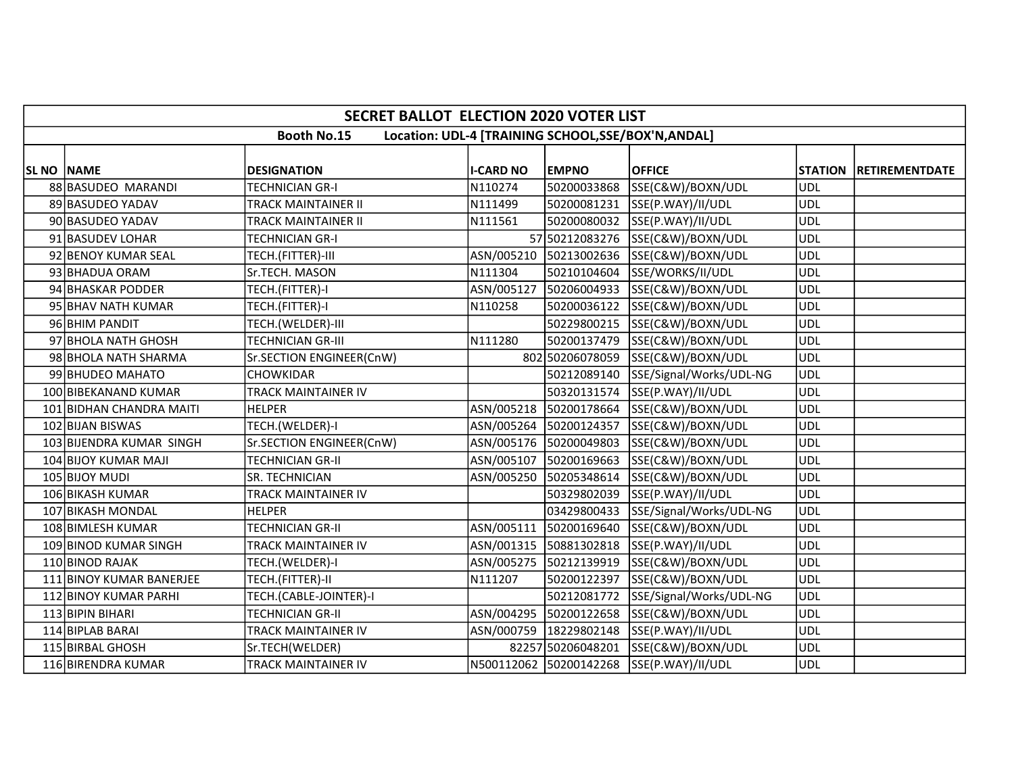|                    | <b>SECRET BALLOT ELECTION 2020 VOTER LIST</b>                             |                          |                  |                        |                                          |                |                       |  |  |  |
|--------------------|---------------------------------------------------------------------------|--------------------------|------------------|------------------------|------------------------------------------|----------------|-----------------------|--|--|--|
|                    | <b>Booth No.15</b><br>Location: UDL-4 [TRAINING SCHOOL, SSE/BOX'N, ANDAL] |                          |                  |                        |                                          |                |                       |  |  |  |
| <b>SL NO INAME</b> |                                                                           | <b>DESIGNATION</b>       | <b>I-CARD NO</b> | <b>EMPNO</b>           | <b>OFFICE</b>                            | <b>STATION</b> | <b>RETIREMENTDATE</b> |  |  |  |
|                    | 88 BASUDEO MARANDI                                                        | TECHNICIAN GR-I          | N110274          | 50200033868            | SSE(C&W)/BOXN/UDL                        | <b>UDL</b>     |                       |  |  |  |
|                    | 89 BASUDEO YADAV                                                          | TRACK MAINTAINER II      | N111499          | 50200081231            | SSE(P.WAY)/II/UDL                        | <b>UDL</b>     |                       |  |  |  |
|                    | 90 BASUDEO YADAV                                                          | TRACK MAINTAINER II      | N111561          |                        | 50200080032 SSE(P.WAY)/II/UDL            | <b>UDL</b>     |                       |  |  |  |
|                    | 91 BASUDEV LOHAR                                                          | TECHNICIAN GR-I          |                  |                        | 57 50212083276 SSE(C&W)/BOXN/UDL         | <b>UDL</b>     |                       |  |  |  |
|                    | 92 BENOY KUMAR SEAL                                                       | TECH.(FITTER)-III        |                  |                        | ASN/005210 50213002636 SSE(C&W)/BOXN/UDL | <b>UDL</b>     |                       |  |  |  |
|                    | 93 BHADUA ORAM                                                            | Sr.TECH. MASON           | N111304          | 50210104604            | SSE/WORKS/II/UDL                         | <b>UDL</b>     |                       |  |  |  |
|                    | 94 BHASKAR PODDER                                                         | TECH.(FITTER)-I          |                  | ASN/005127 50206004933 | SSE(C&W)/BOXN/UDL                        | <b>UDL</b>     |                       |  |  |  |
|                    | 95 BHAV NATH KUMAR                                                        | TECH.(FITTER)-I          | N110258          |                        | 50200036122 SSE(C&W)/BOXN/UDL            | <b>UDL</b>     |                       |  |  |  |
|                    | 96 BHIM PANDIT                                                            | TECH.(WELDER)-III        |                  |                        | 50229800215 SSE(C&W)/BOXN/UDL            | <b>UDL</b>     |                       |  |  |  |
|                    | 97 BHOLA NATH GHOSH                                                       | <b>TECHNICIAN GR-III</b> | N111280          |                        | 50200137479 SSE(C&W)/BOXN/UDL            | <b>UDL</b>     |                       |  |  |  |
|                    | 98 BHOLA NATH SHARMA                                                      | Sr.SECTION ENGINEER(CnW) |                  |                        | 802 50206078059 SSE(C&W)/BOXN/UDL        | <b>UDL</b>     |                       |  |  |  |
|                    | 99 BHUDEO MAHATO                                                          | <b>CHOWKIDAR</b>         |                  | 50212089140            | SSE/Signal/Works/UDL-NG                  | <b>UDL</b>     |                       |  |  |  |
|                    | 100 BIBEKANAND KUMAR                                                      | TRACK MAINTAINER IV      |                  |                        | 50320131574 SSE(P.WAY)/II/UDL            | <b>UDL</b>     |                       |  |  |  |
|                    | 101 BIDHAN CHANDRA MAITI                                                  | <b>HELPER</b>            | ASN/005218       | 50200178664            | SSE(C&W)/BOXN/UDL                        | <b>UDL</b>     |                       |  |  |  |
|                    | 102 BIJAN BISWAS                                                          | TECH.(WELDER)-I          |                  | ASN/005264 50200124357 | SSE(C&W)/BOXN/UDL                        | <b>UDL</b>     |                       |  |  |  |
|                    | 103 BIJENDRA KUMAR SINGH                                                  | Sr.SECTION ENGINEER(CnW) |                  | ASN/005176 50200049803 | SSE(C&W)/BOXN/UDL                        | <b>UDL</b>     |                       |  |  |  |
|                    | 104 BIJOY KUMAR MAJI                                                      | <b>TECHNICIAN GR-II</b>  |                  |                        | ASN/005107 50200169663 SSE(C&W)/BOXN/UDL | <b>UDL</b>     |                       |  |  |  |
|                    | 105 BIJOY MUDI                                                            | SR. TECHNICIAN           | ASN/005250       | 50205348614            | SSE(C&W)/BOXN/UDL                        | <b>UDL</b>     |                       |  |  |  |
|                    | 106 BIKASH KUMAR                                                          | TRACK MAINTAINER IV      |                  |                        | 50329802039 SSE(P.WAY)/II/UDL            | UDL            |                       |  |  |  |
|                    | 107 BIKASH MONDAL                                                         | <b>HELPER</b>            |                  | 03429800433            | SSE/Signal/Works/UDL-NG                  | <b>UDL</b>     |                       |  |  |  |
|                    | 108 BIMLESH KUMAR                                                         | <b>TECHNICIAN GR-II</b>  |                  | ASN/005111 50200169640 | SSE(C&W)/BOXN/UDL                        | <b>UDL</b>     |                       |  |  |  |
|                    | 109 BINOD KUMAR SINGH                                                     | TRACK MAINTAINER IV      |                  | ASN/001315 50881302818 | SSE(P.WAY)/II/UDL                        | <b>UDL</b>     |                       |  |  |  |
|                    | 110 BINOD RAJAK                                                           | TECH.(WELDER)-I          |                  | ASN/005275 50212139919 | SSE(C&W)/BOXN/UDL                        | <b>UDL</b>     |                       |  |  |  |
|                    | 111 BINOY KUMAR BANERJEE                                                  | TECH.(FITTER)-II         | N111207          | 50200122397            | SSE(C&W)/BOXN/UDL                        | <b>UDL</b>     |                       |  |  |  |
|                    | 112 BINOY KUMAR PARHI                                                     | TECH.(CABLE-JOINTER)-I   |                  |                        | 50212081772 SSE/Signal/Works/UDL-NG      | <b>UDL</b>     |                       |  |  |  |
|                    | 113 BIPIN BIHARI                                                          | <b>TECHNICIAN GR-II</b>  |                  |                        | ASN/004295 50200122658 SSE(C&W)/BOXN/UDL | <b>UDL</b>     |                       |  |  |  |
|                    | 114 BIPLAB BARAI                                                          | TRACK MAINTAINER IV      |                  |                        | ASN/000759 18229802148 SSE(P.WAY)/II/UDL | <b>UDL</b>     |                       |  |  |  |
|                    | 115 BIRBAL GHOSH                                                          | Sr.TECH(WELDER)          |                  | 82257 50206048201      | SSE(C&W)/BOXN/UDL                        | <b>UDL</b>     |                       |  |  |  |
|                    | 116 BIRENDRA KUMAR                                                        | TRACK MAINTAINER IV      |                  |                        | N500112062 50200142268 SSE(P.WAY)/II/UDL | UDL            |                       |  |  |  |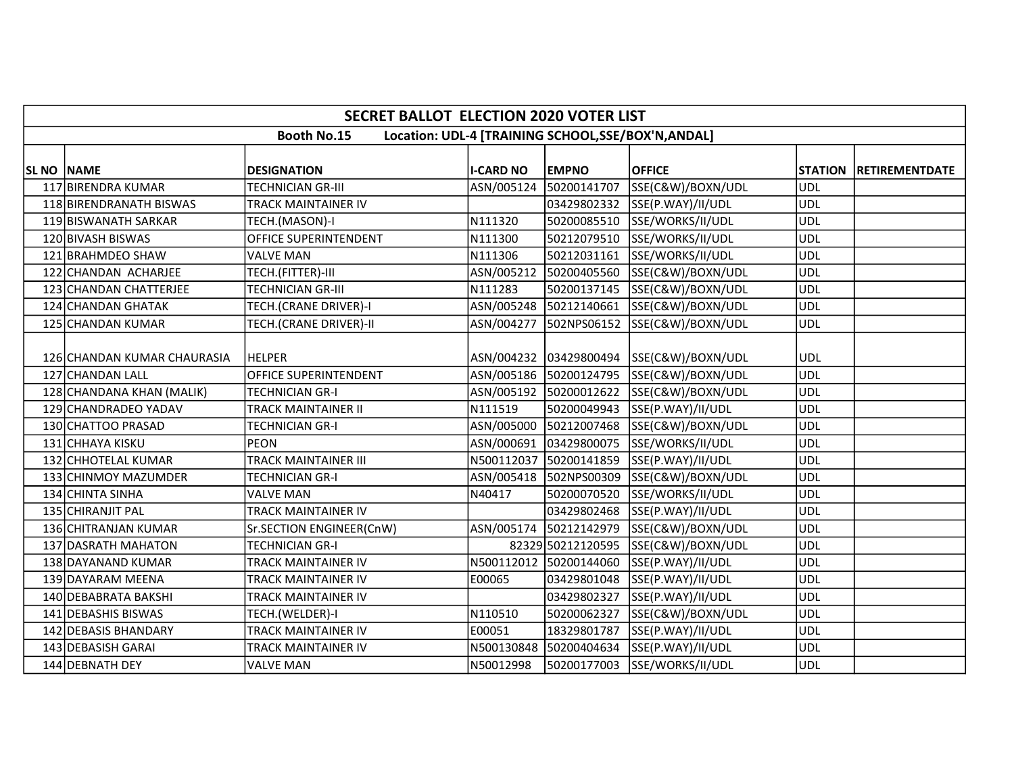|                   | <b>SECRET BALLOT ELECTION 2020 VOTER LIST</b>                             |                              |                  |                        |                                            |                |                       |  |  |  |  |
|-------------------|---------------------------------------------------------------------------|------------------------------|------------------|------------------------|--------------------------------------------|----------------|-----------------------|--|--|--|--|
|                   | <b>Booth No.15</b><br>Location: UDL-4 [TRAINING SCHOOL, SSE/BOX'N, ANDAL] |                              |                  |                        |                                            |                |                       |  |  |  |  |
| <b>SL NO NAME</b> |                                                                           | <b>DESIGNATION</b>           | <b>I-CARD NO</b> | <b>EMPNO</b>           | <b>OFFICE</b>                              | <b>STATION</b> | <b>RETIREMENTDATE</b> |  |  |  |  |
|                   | 117 BIRENDRA KUMAR                                                        | TECHNICIAN GR-III            | ASN/005124       | 50200141707            | SSE(C&W)/BOXN/UDL                          | <b>UDL</b>     |                       |  |  |  |  |
|                   | 118 BIRENDRANATH BISWAS                                                   | TRACK MAINTAINER IV          |                  |                        | 03429802332 SSE(P.WAY)/II/UDL              | <b>UDL</b>     |                       |  |  |  |  |
|                   | 119 BISWANATH SARKAR                                                      | TECH.(MASON)-I               | N111320          |                        | 50200085510 SSE/WORKS/II/UDL               | <b>UDL</b>     |                       |  |  |  |  |
|                   | 120 BIVASH BISWAS                                                         | OFFICE SUPERINTENDENT        | N111300          |                        | 50212079510 SSE/WORKS/II/UDL               | <b>UDL</b>     |                       |  |  |  |  |
|                   | 121 BRAHMDEO SHAW                                                         | <b>VALVE MAN</b>             | N111306          | 50212031161            | SSE/WORKS/II/UDL                           | <b>UDL</b>     |                       |  |  |  |  |
|                   | 122 CHANDAN ACHARJEE                                                      | TECH.(FITTER)-III            |                  |                        | ASN/005212 50200405560 SSE(C&W)/BOXN/UDL   | <b>UDL</b>     |                       |  |  |  |  |
|                   | 123 CHANDAN CHATTERJEE                                                    | <b>TECHNICIAN GR-III</b>     | N111283          | 50200137145            | SSE(C&W)/BOXN/UDL                          | <b>UDL</b>     |                       |  |  |  |  |
|                   | 124 CHANDAN GHATAK                                                        | TECH.(CRANE DRIVER)-I        |                  | ASN/005248 50212140661 | SSE(C&W)/BOXN/UDL                          | <b>UDL</b>     |                       |  |  |  |  |
|                   | 125 CHANDAN KUMAR                                                         | TECH.(CRANE DRIVER)-II       |                  |                        | ASN/004277  502NPS06152  SSE(C&W)/BOXN/UDL | <b>UDL</b>     |                       |  |  |  |  |
|                   | 126 CHANDAN KUMAR CHAURASIA                                               | <b>HELPER</b>                |                  |                        | ASN/004232 03429800494 SSE(C&W)/BOXN/UDL   | <b>UDL</b>     |                       |  |  |  |  |
|                   | 127 CHANDAN LALL                                                          | <b>OFFICE SUPERINTENDENT</b> |                  | ASN/005186 50200124795 | SSE(C&W)/BOXN/UDL                          | <b>UDL</b>     |                       |  |  |  |  |
|                   | 128 CHANDANA KHAN (MALIK)                                                 | <b>TECHNICIAN GR-I</b>       |                  |                        | ASN/005192 50200012622 SSE(C&W)/BOXN/UDL   | <b>UDL</b>     |                       |  |  |  |  |
|                   | 129 CHANDRADEO YADAV                                                      | TRACK MAINTAINER II          | N111519          | 50200049943            | SSE(P.WAY)/II/UDL                          | <b>UDL</b>     |                       |  |  |  |  |
|                   | 130 CHATTOO PRASAD                                                        | <b>TECHNICIAN GR-I</b>       |                  |                        | ASN/005000 50212007468 SSE(C&W)/BOXN/UDL   | <b>UDL</b>     |                       |  |  |  |  |
|                   | 131 CHHAYA KISKU                                                          | PEON                         |                  | ASN/000691 03429800075 | SSE/WORKS/II/UDL                           | <b>UDL</b>     |                       |  |  |  |  |
|                   | 132 CHHOTELAL KUMAR                                                       | TRACK MAINTAINER III         |                  |                        | N500112037 50200141859 SSE(P.WAY)/II/UDL   | ludl           |                       |  |  |  |  |
|                   | 133 CHINMOY MAZUMDER                                                      | TECHNICIAN GR-I              |                  |                        | ASN/005418 502NPS00309 SSE(C&W)/BOXN/UDL   | <b>UDL</b>     |                       |  |  |  |  |
|                   | 134 CHINTA SINHA                                                          | <b>VALVE MAN</b>             | N40417           |                        | 50200070520 SSE/WORKS/II/UDL               | <b>UDL</b>     |                       |  |  |  |  |
|                   | 135 CHIRANJIT PAL                                                         | <b>TRACK MAINTAINER IV</b>   |                  |                        | 03429802468 SSE(P.WAY)/II/UDL              | <b>UDL</b>     |                       |  |  |  |  |
|                   | 136 CHITRANJAN KUMAR                                                      | Sr.SECTION ENGINEER(CnW)     |                  | ASN/005174 50212142979 | SSE(C&W)/BOXN/UDL                          | ludl           |                       |  |  |  |  |
|                   | 137 DASRATH MAHATON                                                       | <b>TECHNICIAN GR-I</b>       |                  |                        | 82329 50212120595 SSE(C&W)/BOXN/UDL        | <b>UDL</b>     |                       |  |  |  |  |
|                   | 138 DAYANAND KUMAR                                                        | TRACK MAINTAINER IV          |                  | N500112012 50200144060 | SSE(P.WAY)/II/UDL                          | <b>UDL</b>     |                       |  |  |  |  |
|                   | 139 DAYARAM MEENA                                                         | TRACK MAINTAINER IV          | E00065           | 03429801048            | SSE(P.WAY)/II/UDL                          | <b>UDL</b>     |                       |  |  |  |  |
|                   | 140 DEBABRATA BAKSHI                                                      | TRACK MAINTAINER IV          |                  | 03429802327            | SSE(P.WAY)/II/UDL                          | <b>UDL</b>     |                       |  |  |  |  |
|                   | 141 DEBASHIS BISWAS                                                       | TECH.(WELDER)-I              | N110510          | 50200062327            | SSE(C&W)/BOXN/UDL                          | <b>UDL</b>     |                       |  |  |  |  |
|                   | 142 DEBASIS BHANDARY                                                      | TRACK MAINTAINER IV          | E00051           | 18329801787            | SSE(P.WAY)/II/UDL                          | <b>UDL</b>     |                       |  |  |  |  |
|                   | 143 DEBASISH GARAI                                                        | TRACK MAINTAINER IV          |                  | N500130848 50200404634 | SSE(P.WAY)/II/UDL                          | <b>UDL</b>     |                       |  |  |  |  |
|                   | 144 DEBNATH DEY                                                           | <b>VALVE MAN</b>             | N50012998        |                        | 50200177003 SSE/WORKS/II/UDL               | <b>UDL</b>     |                       |  |  |  |  |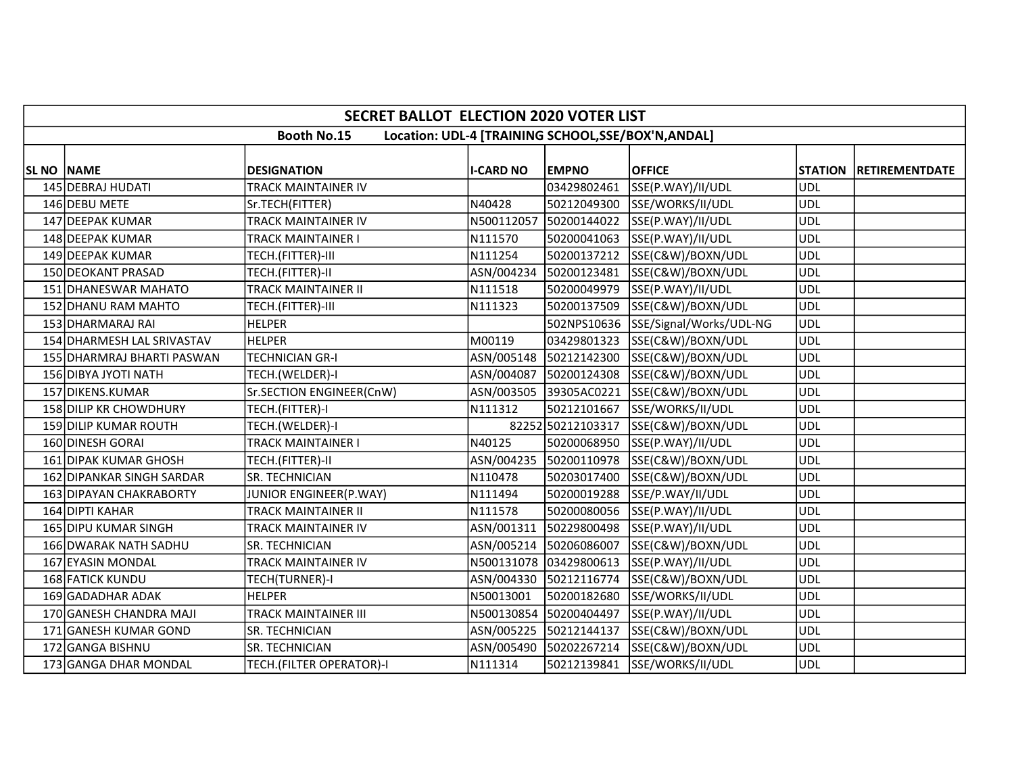|                    | <b>SECRET BALLOT ELECTION 2020 VOTER LIST</b>                             |                             |                  |                        |                                          |            |                        |  |  |  |  |
|--------------------|---------------------------------------------------------------------------|-----------------------------|------------------|------------------------|------------------------------------------|------------|------------------------|--|--|--|--|
|                    | <b>Booth No.15</b><br>Location: UDL-4 [TRAINING SCHOOL, SSE/BOX'N, ANDAL] |                             |                  |                        |                                          |            |                        |  |  |  |  |
| <b>SL NO INAME</b> |                                                                           | <b>DESIGNATION</b>          | <b>I-CARD NO</b> | <b>EMPNO</b>           | <b>OFFICE</b>                            |            | STATION RETIREMENTDATE |  |  |  |  |
|                    | 145 DEBRAJ HUDATI                                                         | TRACK MAINTAINER IV         |                  | 03429802461            | SSE(P.WAY)/II/UDL                        | <b>UDL</b> |                        |  |  |  |  |
|                    | 146 DEBU METE                                                             | Sr.TECH(FITTER)             | N40428           |                        | 50212049300 SSE/WORKS/II/UDL             | <b>UDL</b> |                        |  |  |  |  |
|                    | 147 DEEPAK KUMAR                                                          | TRACK MAINTAINER IV         | N500112057       | 50200144022            | SSE(P.WAY)/II/UDL                        | <b>UDL</b> |                        |  |  |  |  |
|                    | 148 DEEPAK KUMAR                                                          | TRACK MAINTAINER I          | N111570          |                        | 50200041063  SSE(P.WAY)/II/UDL           | ludl       |                        |  |  |  |  |
|                    | 149 DEEPAK KUMAR                                                          | TECH.(FITTER)-III           | N111254          | 50200137212            | SSE(C&W)/BOXN/UDL                        | <b>UDL</b> |                        |  |  |  |  |
|                    | 150 DEOKANT PRASAD                                                        | TECH.(FITTER)-II            | ASN/004234       | 50200123481            | SSE(C&W)/BOXN/UDL                        | <b>UDL</b> |                        |  |  |  |  |
|                    | 151 DHANESWAR MAHATO                                                      | <b>TRACK MAINTAINER II</b>  | N111518          | 50200049979            | SSE(P.WAY)/II/UDL                        | UDL        |                        |  |  |  |  |
|                    | 152 DHANU RAM MAHTO                                                       | TECH.(FITTER)-III           | N111323          | 50200137509            | SSE(C&W)/BOXN/UDL                        | ludl       |                        |  |  |  |  |
|                    | 153 DHARMARAJ RAI                                                         | <b>HELPER</b>               |                  |                        | 502NPS10636 SSE/Signal/Works/UDL-NG      | UDL        |                        |  |  |  |  |
|                    | 154 DHARMESH LAL SRIVASTAV                                                | <b>HELPER</b>               | M00119           |                        | 03429801323 SSE(C&W)/BOXN/UDL            | <b>UDL</b> |                        |  |  |  |  |
|                    | 155 DHARMRAJ BHARTI PASWAN                                                | <b>TECHNICIAN GR-I</b>      | ASN/005148       |                        | 50212142300 SSE(C&W)/BOXN/UDL            | <b>UDL</b> |                        |  |  |  |  |
|                    | 156 DIBYA JYOTI NATH                                                      | TECH.(WELDER)-I             | ASN/004087       | 50200124308            | SSE(C&W)/BOXN/UDL                        | <b>UDL</b> |                        |  |  |  |  |
|                    | 157 DIKENS.KUMAR                                                          | Sr.SECTION ENGINEER(CnW)    |                  |                        | ASN/003505 39305AC0221 SSE(C&W)/BOXN/UDL | <b>UDL</b> |                        |  |  |  |  |
|                    | 158 DILIP KR CHOWDHURY                                                    | TECH.(FITTER)-I             | N111312          | 50212101667            | SSE/WORKS/II/UDL                         | <b>UDL</b> |                        |  |  |  |  |
|                    | 159 DILIP KUMAR ROUTH                                                     | TECH.(WELDER)-I             |                  | 82252 50212103317      | SSE(C&W)/BOXN/UDL                        | <b>UDL</b> |                        |  |  |  |  |
|                    | 160 DINESH GORAI                                                          | TRACK MAINTAINER I          | N40125           | 50200068950            | SSE(P.WAY)/II/UDL                        | <b>UDL</b> |                        |  |  |  |  |
|                    | 161 DIPAK KUMAR GHOSH                                                     | TECH.(FITTER)-II            |                  |                        | ASN/004235 50200110978 SSE(C&W)/BOXN/UDL | UDL        |                        |  |  |  |  |
|                    | 162 DIPANKAR SINGH SARDAR                                                 | SR. TECHNICIAN              | N110478          | 50203017400            | SSE(C&W)/BOXN/UDL                        | <b>UDL</b> |                        |  |  |  |  |
|                    | 163 DIPAYAN CHAKRABORTY                                                   | JUNIOR ENGINEER(P.WAY)      | N111494          |                        | 50200019288 SSE/P.WAY/II/UDL             | UDL        |                        |  |  |  |  |
|                    | 164 DIPTI KAHAR                                                           | <b>TRACK MAINTAINER II</b>  | N111578          |                        | 50200080056 SSE(P.WAY)/II/UDL            | <b>UDL</b> |                        |  |  |  |  |
|                    | 165 DIPU KUMAR SINGH                                                      | TRACK MAINTAINER IV         |                  |                        | ASN/001311 50229800498 SSE(P.WAY)/II/UDL | UDL        |                        |  |  |  |  |
|                    | 166 DWARAK NATH SADHU                                                     | SR. TECHNICIAN              | ASN/005214       | 50206086007            | SSE(C&W)/BOXN/UDL                        | <b>UDL</b> |                        |  |  |  |  |
|                    | 167 EYASIN MONDAL                                                         | TRACK MAINTAINER IV         |                  | N500131078 03429800613 | SSE(P.WAY)/II/UDL                        | <b>UDL</b> |                        |  |  |  |  |
|                    | 168 FATICK KUNDU                                                          | TECH(TURNER)-I              | ASN/004330       | 50212116774            | SSE(C&W)/BOXN/UDL                        | <b>UDL</b> |                        |  |  |  |  |
|                    | 169 GADADHAR ADAK                                                         | <b>HELPER</b>               | N50013001        | 50200182680            | SSE/WORKS/II/UDL                         | <b>UDL</b> |                        |  |  |  |  |
|                    | 170 GANESH CHANDRA MAJI                                                   | <b>TRACK MAINTAINER III</b> | N500130854       | 50200404497            | SSE(P.WAY)/II/UDL                        | ludl       |                        |  |  |  |  |
|                    | 171 GANESH KUMAR GOND                                                     | SR. TECHNICIAN              | ASN/005225       | 50212144137            | SSE(C&W)/BOXN/UDL                        | <b>UDL</b> |                        |  |  |  |  |
|                    | 172 GANGA BISHNU                                                          | SR. TECHNICIAN              |                  | ASN/005490 50202267214 | SSE(C&W)/BOXN/UDL                        | <b>UDL</b> |                        |  |  |  |  |
|                    | 173 GANGA DHAR MONDAL                                                     | TECH.(FILTER OPERATOR)-I    | N111314          | 50212139841            | SSE/WORKS/II/UDL                         | <b>UDL</b> |                        |  |  |  |  |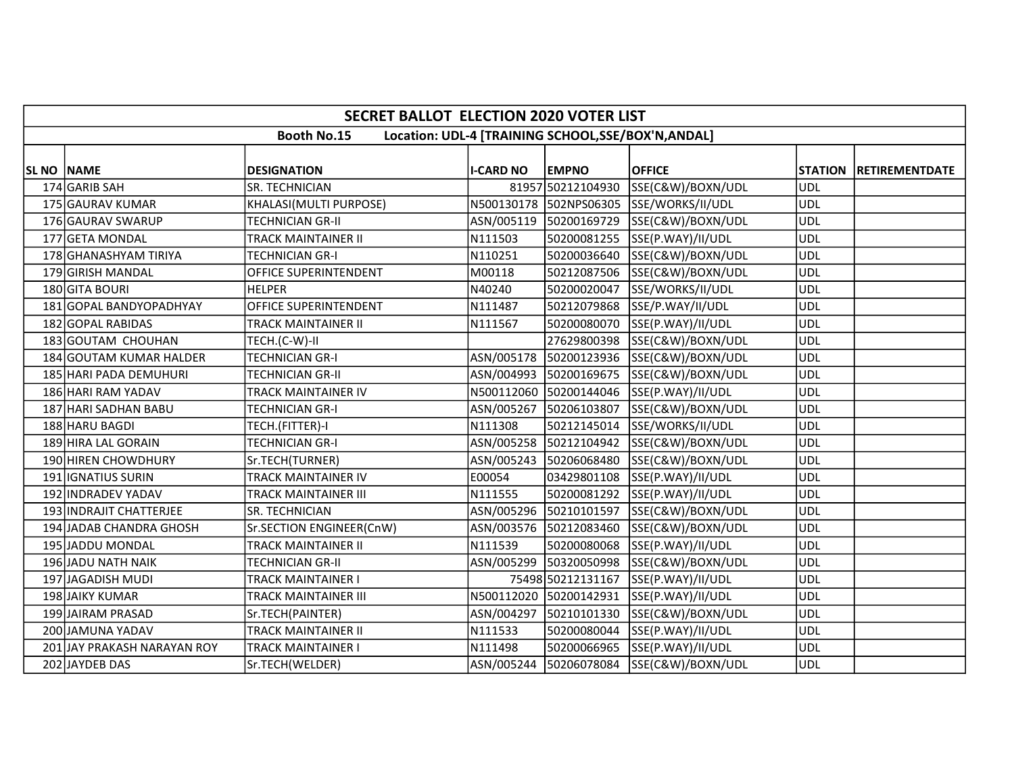|            | <b>SECRET BALLOT ELECTION 2020 VOTER LIST</b>                             |                            |                  |                        |                                          |            |                        |  |  |  |
|------------|---------------------------------------------------------------------------|----------------------------|------------------|------------------------|------------------------------------------|------------|------------------------|--|--|--|
|            | <b>Booth No.15</b><br>Location: UDL-4 [TRAINING SCHOOL, SSE/BOX'N, ANDAL] |                            |                  |                        |                                          |            |                        |  |  |  |
| SL NO NAME |                                                                           | <b>DESIGNATION</b>         | <b>I-CARD NO</b> | <b>EMPNO</b>           | <b>OFFICE</b>                            |            | STATION RETIREMENTDATE |  |  |  |
|            | 174 GARIB SAH                                                             | <b>SR. TECHNICIAN</b>      |                  | 81957 50212104930      | SSE(C&W)/BOXN/UDL                        | <b>UDL</b> |                        |  |  |  |
|            | 175 GAURAV KUMAR                                                          | KHALASI(MULTI PURPOSE)     |                  |                        | N500130178 502NPS06305 SSE/WORKS/II/UDL  | <b>UDL</b> |                        |  |  |  |
|            | 176 GAURAV SWARUP                                                         |                            |                  |                        |                                          | <b>UDL</b> |                        |  |  |  |
|            |                                                                           | <b>TECHNICIAN GR-II</b>    |                  |                        | ASN/005119 50200169729 SSE(C&W)/BOXN/UDL |            |                        |  |  |  |
|            | 177 GETA MONDAL                                                           | TRACK MAINTAINER II        | N111503          |                        | 50200081255 SSE(P.WAY)/II/UDL            | <b>UDL</b> |                        |  |  |  |
|            | 178 GHANASHYAM TIRIYA                                                     | TECHNICIAN GR-I            | N110251          | 50200036640            | SSE(C&W)/BOXN/UDL                        | <b>UDL</b> |                        |  |  |  |
|            | 179 GIRISH MANDAL                                                         | OFFICE SUPERINTENDENT      | M00118           |                        | 50212087506 SSE(C&W)/BOXN/UDL            | <b>UDL</b> |                        |  |  |  |
|            | 180 GITA BOURI                                                            | <b>HELPER</b>              | N40240           | 50200020047            | SSE/WORKS/II/UDL                         | <b>UDL</b> |                        |  |  |  |
|            | 181 GOPAL BANDYOPADHYAY                                                   | OFFICE SUPERINTENDENT      | N111487          |                        | 50212079868 SSE/P.WAY/II/UDL             | UDL        |                        |  |  |  |
|            | 182 GOPAL RABIDAS                                                         | TRACK MAINTAINER II        | N111567          |                        | 50200080070 SSE(P.WAY)/II/UDL            | <b>UDL</b> |                        |  |  |  |
|            | 183 GOUTAM CHOUHAN                                                        | TECH.(C-W)-II              |                  |                        | 27629800398 SSE(C&W)/BOXN/UDL            | <b>UDL</b> |                        |  |  |  |
|            | 184 GOUTAM KUMAR HALDER                                                   | <b>TECHNICIAN GR-I</b>     |                  |                        | ASN/005178 50200123936 SSE(C&W)/BOXN/UDL | <b>UDL</b> |                        |  |  |  |
|            | 185 HARI PADA DEMUHURI                                                    | <b>TECHNICIAN GR-II</b>    |                  | ASN/004993 50200169675 | SSE(C&W)/BOXN/UDL                        | <b>UDL</b> |                        |  |  |  |
|            | 186 HARI RAM YADAV                                                        | TRACK MAINTAINER IV        |                  |                        | N500112060 50200144046 SSE(P.WAY)/II/UDL | <b>UDL</b> |                        |  |  |  |
|            | 187 HARI SADHAN BABU                                                      | TECHNICIAN GR-I            | ASN/005267       | 50206103807            | SSE(C&W)/BOXN/UDL                        | <b>UDL</b> |                        |  |  |  |
|            | 188 HARU BAGDI                                                            | TECH.(FITTER)-I            | N111308          | 50212145014            | SSE/WORKS/II/UDL                         | <b>UDL</b> |                        |  |  |  |
|            | 189 HIRA LAL GORAIN                                                       | <b>TECHNICIAN GR-I</b>     |                  | ASN/005258 50212104942 | SSE(C&W)/BOXN/UDL                        | <b>UDL</b> |                        |  |  |  |
|            | 190 HIREN CHOWDHURY                                                       | Sr.TECH(TURNER)            |                  |                        | ASN/005243 50206068480 SSE(C&W)/BOXN/UDL | ludl       |                        |  |  |  |
|            | 191 <b>IGNATIUS</b> SURIN                                                 | TRACK MAINTAINER IV        | E00054           |                        | 03429801108 SSE(P.WAY)/II/UDL            | <b>UDL</b> |                        |  |  |  |
|            | 192 INDRADEV YADAV                                                        | TRACK MAINTAINER III       | N111555          |                        | 50200081292 SSE(P.WAY)/II/UDL            | <b>UDL</b> |                        |  |  |  |
|            | 193 INDRAJIT CHATTERJEE                                                   | SR. TECHNICIAN             |                  |                        | ASN/005296 50210101597 SSE(C&W)/BOXN/UDL | <b>UDL</b> |                        |  |  |  |
|            | 194 JADAB CHANDRA GHOSH                                                   | Sr.SECTION ENGINEER(CnW)   |                  |                        | ASN/003576 50212083460 SSE(C&W)/BOXN/UDL | <b>UDL</b> |                        |  |  |  |
|            | 195 JADDU MONDAL                                                          | TRACK MAINTAINER II        | N111539          |                        | 50200080068 SSE(P.WAY)/II/UDL            | <b>UDL</b> |                        |  |  |  |
|            | 196 JADU NATH NAIK                                                        | TECHNICIAN GR-II           |                  |                        | ASN/005299 50320050998 SSE(C&W)/BOXN/UDL | <b>UDL</b> |                        |  |  |  |
|            | 197 JAGADISH MUDI                                                         | TRACK MAINTAINER I         |                  | 75498 50212131167      | SSE(P.WAY)/II/UDL                        | <b>UDL</b> |                        |  |  |  |
|            | 198 JAIKY KUMAR                                                           | TRACK MAINTAINER III       |                  | N500112020 50200142931 | SSE(P.WAY)/II/UDL                        | <b>UDL</b> |                        |  |  |  |
|            | 199 JAIRAM PRASAD                                                         | Sr.TECH(PAINTER)           |                  | ASN/004297 50210101330 | SSE(C&W)/BOXN/UDL                        | <b>UDL</b> |                        |  |  |  |
|            | 200 JAMUNA YADAV                                                          | <b>TRACK MAINTAINER II</b> | N111533          | 50200080044            | SSE(P.WAY)/II/UDL                        | <b>UDL</b> |                        |  |  |  |
|            | 201 JAY PRAKASH NARAYAN ROY                                               | <b>TRACK MAINTAINER I</b>  | N111498          |                        | 50200066965 SSE(P.WAY)/II/UDL            | <b>UDL</b> |                        |  |  |  |
|            | 202 JAYDEB DAS                                                            | Sr.TECH(WELDER)            |                  |                        | ASN/005244 50206078084 SSE(C&W)/BOXN/UDL | <b>UDL</b> |                        |  |  |  |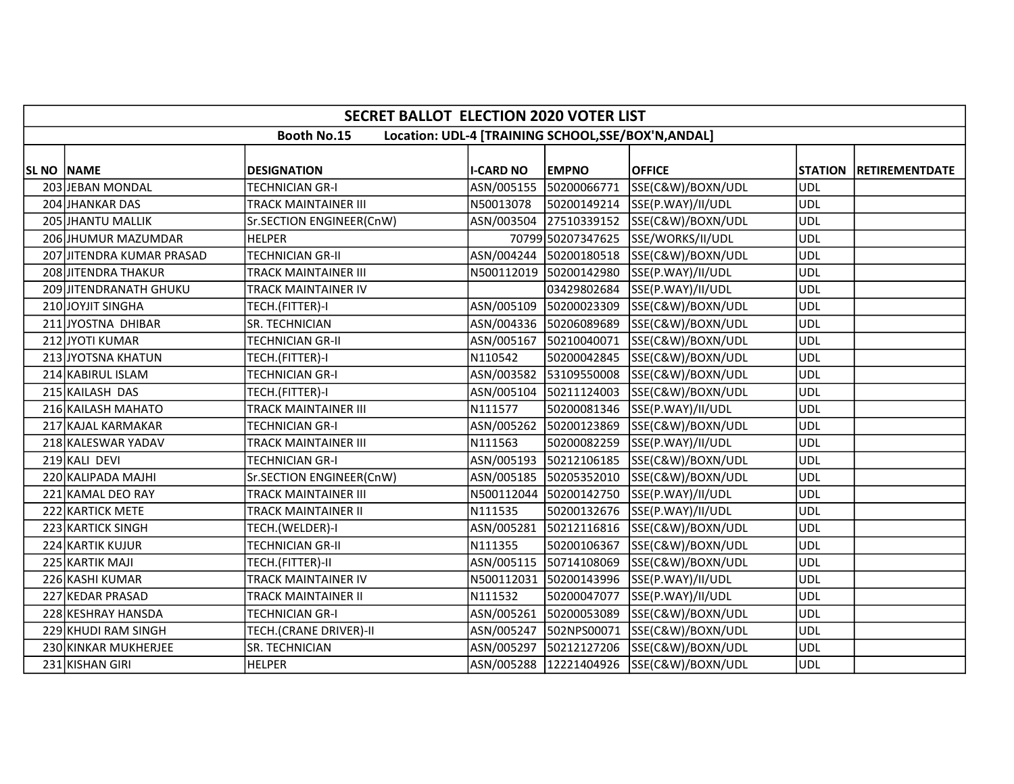|                   | <b>SECRET BALLOT ELECTION 2020 VOTER LIST</b>                             |                             |                  |              |                                          |            |                        |  |  |  |  |
|-------------------|---------------------------------------------------------------------------|-----------------------------|------------------|--------------|------------------------------------------|------------|------------------------|--|--|--|--|
|                   | <b>Booth No.15</b><br>Location: UDL-4 [TRAINING SCHOOL, SSE/BOX'N, ANDAL] |                             |                  |              |                                          |            |                        |  |  |  |  |
| <b>SL NO NAME</b> |                                                                           | <b>DESIGNATION</b>          | <b>I-CARD NO</b> | <b>EMPNO</b> | <b>OFFICE</b>                            |            | STATION RETIREMENTDATE |  |  |  |  |
|                   | 203 JEBAN MONDAL                                                          | TECHNICIAN GR-I             | ASN/005155       | 50200066771  | SSE(C&W)/BOXN/UDL                        | <b>UDL</b> |                        |  |  |  |  |
|                   | 204 JHANKAR DAS                                                           | <b>TRACK MAINTAINER III</b> | N50013078        |              | 50200149214 SSE(P.WAY)/II/UDL            | <b>UDL</b> |                        |  |  |  |  |
|                   | 205 JHANTU MALLIK                                                         | Sr.SECTION ENGINEER(CnW)    | ASN/003504       |              | 27510339152 SSE(C&W)/BOXN/UDL            | <b>UDL</b> |                        |  |  |  |  |
|                   | 206 JHUMUR MAZUMDAR                                                       | <b>HELPER</b>               |                  |              | 70799 50207347625 SSE/WORKS/II/UDL       | <b>UDL</b> |                        |  |  |  |  |
|                   | 207 JITENDRA KUMAR PRASAD                                                 | <b>TECHNICIAN GR-II</b>     | ASN/004244       |              | 50200180518 SSE(C&W)/BOXN/UDL            | <b>UDL</b> |                        |  |  |  |  |
|                   | 208 JITENDRA THAKUR                                                       | <b>TRACK MAINTAINER III</b> |                  |              | N500112019 50200142980 SSE(P.WAY)/II/UDL | <b>UDL</b> |                        |  |  |  |  |
|                   | 209 JITENDRANATH GHUKU                                                    | <b>TRACK MAINTAINER IV</b>  |                  | 03429802684  | SSE(P.WAY)/II/UDL                        | <b>UDL</b> |                        |  |  |  |  |
|                   | 210 JOYJIT SINGHA                                                         | TECH.(FITTER)-I             | ASN/005109       |              | 50200023309 SSE(C&W)/BOXN/UDL            | <b>UDL</b> |                        |  |  |  |  |
|                   | 211 JYOSTNA DHIBAR                                                        | SR. TECHNICIAN              |                  |              | ASN/004336 50206089689 SSE(C&W)/BOXN/UDL | <b>UDL</b> |                        |  |  |  |  |
|                   | 212 JYOTI KUMAR                                                           | <b>TECHNICIAN GR-II</b>     | ASN/005167       | 50210040071  | SSE(C&W)/BOXN/UDL                        | <b>UDL</b> |                        |  |  |  |  |
|                   | 213 JYOTSNA KHATUN                                                        | TECH.(FITTER)-I             | N110542          |              | 50200042845 SSE(C&W)/BOXN/UDL            | <b>UDL</b> |                        |  |  |  |  |
|                   | 214 KABIRUL ISLAM                                                         | <b>TECHNICIAN GR-I</b>      |                  |              | ASN/003582 53109550008 SSE(C&W)/BOXN/UDL | <b>UDL</b> |                        |  |  |  |  |
|                   | 215 KAILASH DAS                                                           | TECH.(FITTER)-I             | ASN/005104       |              | 50211124003 SSE(C&W)/BOXN/UDL            | <b>UDL</b> |                        |  |  |  |  |
|                   | 216 KAILASH MAHATO                                                        | TRACK MAINTAINER III        | N111577          |              | 50200081346 SSE(P.WAY)/II/UDL            | <b>UDL</b> |                        |  |  |  |  |
|                   | 217 KAJAL KARMAKAR                                                        | <b>TECHNICIAN GR-I</b>      | ASN/005262       |              | 50200123869 SSE(C&W)/BOXN/UDL            | <b>UDL</b> |                        |  |  |  |  |
|                   | 218 KALESWAR YADAV                                                        | <b>TRACK MAINTAINER III</b> | N111563          |              | 50200082259 SSE(P.WAY)/II/UDL            | <b>UDL</b> |                        |  |  |  |  |
|                   | 219 KALI DEVI                                                             | <b>TECHNICIAN GR-I</b>      |                  |              | ASN/005193 50212106185 SSE(C&W)/BOXN/UDL | <b>UDL</b> |                        |  |  |  |  |
|                   | 220 KALIPADA MAJHI                                                        | Sr.SECTION ENGINEER(CnW)    | ASN/005185       |              | 50205352010 SSE(C&W)/BOXN/UDL            | <b>UDL</b> |                        |  |  |  |  |
|                   | 221 KAMAL DEO RAY                                                         | <b>TRACK MAINTAINER III</b> |                  |              | N500112044 50200142750 SSE(P.WAY)/II/UDL | <b>UDL</b> |                        |  |  |  |  |
|                   | 222 KARTICK METE                                                          | <b>TRACK MAINTAINER II</b>  | N111535          |              | 50200132676 SSE(P.WAY)/II/UDL            | <b>UDL</b> |                        |  |  |  |  |
|                   | 223 KARTICK SINGH                                                         | TECH.(WELDER)-I             |                  |              | ASN/005281 50212116816 SSE(C&W)/BOXN/UDL | <b>UDL</b> |                        |  |  |  |  |
|                   | 224 KARTIK KUJUR                                                          | <b>TECHNICIAN GR-II</b>     | N111355          |              | 50200106367 SSE(C&W)/BOXN/UDL            | <b>UDL</b> |                        |  |  |  |  |
|                   | 225 KARTIK MAJI                                                           | TECH.(FITTER)-II            | ASN/005115       | 50714108069  | SSE(C&W)/BOXN/UDL                        | <b>UDL</b> |                        |  |  |  |  |
|                   | 226 KASHI KUMAR                                                           | <b>TRACK MAINTAINER IV</b>  |                  |              | N500112031 50200143996 SSE(P.WAY)/II/UDL | <b>UDL</b> |                        |  |  |  |  |
|                   | 227 KEDAR PRASAD                                                          | <b>TRACK MAINTAINER II</b>  | N111532          | 50200047077  | SSE(P.WAY)/II/UDL                        | <b>UDL</b> |                        |  |  |  |  |
|                   | 228 KESHRAY HANSDA                                                        | <b>TECHNICIAN GR-I</b>      |                  |              | ASN/005261 50200053089 SSE(C&W)/BOXN/UDL | <b>UDL</b> |                        |  |  |  |  |
|                   | 229 KHUDI RAM SINGH                                                       | TECH.(CRANE DRIVER)-II      | ASN/005247       |              | 502NPS00071 SSE(C&W)/BOXN/UDL            | <b>UDL</b> |                        |  |  |  |  |
|                   | 230 KINKAR MUKHERJEE                                                      | SR. TECHNICIAN              |                  |              | ASN/005297 50212127206 SSE(C&W)/BOXN/UDL | <b>UDL</b> |                        |  |  |  |  |
|                   | 231 KISHAN GIRI                                                           | <b>HELPER</b>               |                  |              | ASN/005288 12221404926 SSE(C&W)/BOXN/UDL | <b>UDL</b> |                        |  |  |  |  |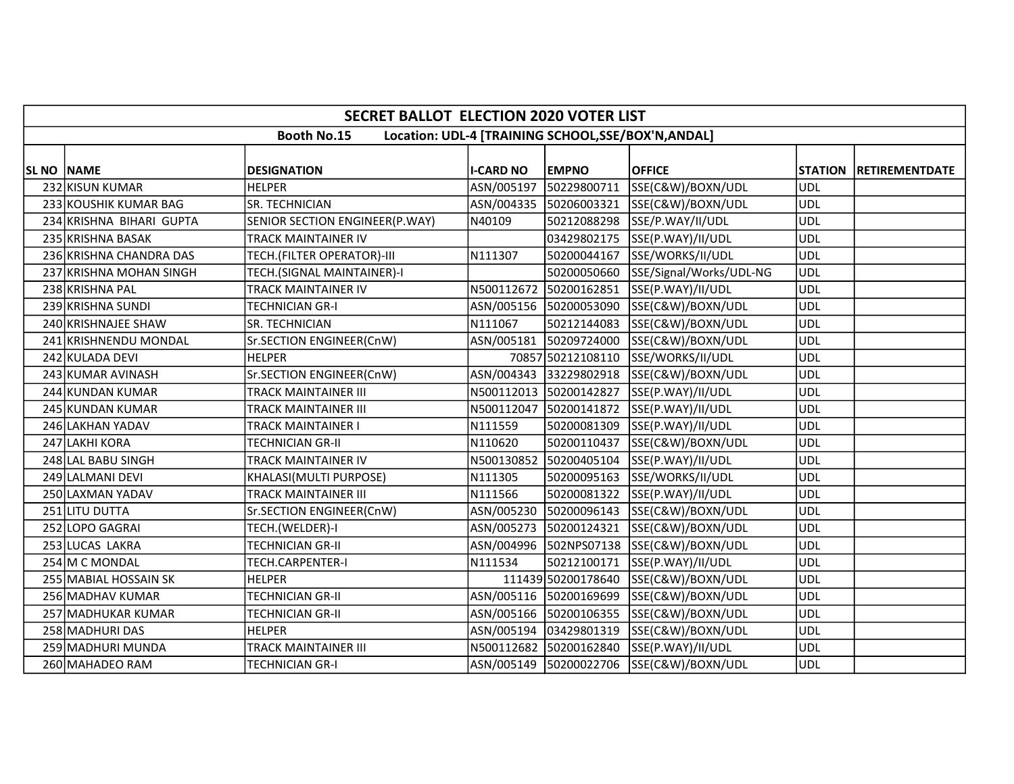|                   | <b>SECRET BALLOT ELECTION 2020 VOTER LIST</b>                             |                                |                  |                        |                                          |            |                        |  |  |  |  |
|-------------------|---------------------------------------------------------------------------|--------------------------------|------------------|------------------------|------------------------------------------|------------|------------------------|--|--|--|--|
|                   | <b>Booth No.15</b><br>Location: UDL-4 [TRAINING SCHOOL, SSE/BOX'N, ANDAL] |                                |                  |                        |                                          |            |                        |  |  |  |  |
|                   |                                                                           |                                |                  |                        |                                          |            |                        |  |  |  |  |
| <b>SL NO NAME</b> |                                                                           | <b>DESIGNATION</b>             | <b>I-CARD NO</b> | <b>EMPNO</b>           | <b>OFFICE</b>                            |            | STATION RETIREMENTDATE |  |  |  |  |
|                   | 232 KISUN KUMAR                                                           | <b>HELPER</b>                  | ASN/005197       | 50229800711            | SSE(C&W)/BOXN/UDL                        | <b>UDL</b> |                        |  |  |  |  |
|                   | 233 KOUSHIK KUMAR BAG                                                     | <b>SR. TECHNICIAN</b>          |                  | ASN/004335 50206003321 | SSE(C&W)/BOXN/UDL                        | <b>UDL</b> |                        |  |  |  |  |
|                   | 234 KRISHNA BIHARI GUPTA                                                  | SENIOR SECTION ENGINEER(P.WAY) | N40109           | 50212088298            | SSE/P.WAY/II/UDL                         | UDL        |                        |  |  |  |  |
|                   | 235 KRISHNA BASAK                                                         | <b>TRACK MAINTAINER IV</b>     |                  | 03429802175            | SSE(P.WAY)/II/UDL                        | <b>UDL</b> |                        |  |  |  |  |
|                   | 236 KRISHNA CHANDRA DAS                                                   | TECH.(FILTER OPERATOR)-III     | N111307          | 50200044167            | SSE/WORKS/II/UDL                         | <b>UDL</b> |                        |  |  |  |  |
|                   | 237 KRISHNA MOHAN SINGH                                                   | TECH.(SIGNAL MAINTAINER)-I     |                  | 50200050660            | SSE/Signal/Works/UDL-NG                  | <b>UDL</b> |                        |  |  |  |  |
|                   | 238 KRISHNA PAL                                                           | TRACK MAINTAINER IV            | N500112672       | 50200162851            | SSE(P.WAY)/II/UDL                        | <b>UDL</b> |                        |  |  |  |  |
|                   | 239 KRISHNA SUNDI                                                         | <b>TECHNICIAN GR-I</b>         |                  |                        | ASN/005156 50200053090 SSE(C&W)/BOXN/UDL | <b>UDL</b> |                        |  |  |  |  |
|                   | 240 KRISHNAJEE SHAW                                                       | SR. TECHNICIAN                 | N111067          | 50212144083            | SSE(C&W)/BOXN/UDL                        | <b>UDL</b> |                        |  |  |  |  |
|                   | 241 KRISHNENDU MONDAL                                                     | Sr.SECTION ENGINEER(CnW)       |                  | ASN/005181 50209724000 | SSE(C&W)/BOXN/UDL                        | <b>UDL</b> |                        |  |  |  |  |
|                   | 242 KULADA DEVI                                                           | <b>HELPER</b>                  |                  |                        | 70857 50212108110 SSE/WORKS/II/UDL       | <b>UDL</b> |                        |  |  |  |  |
|                   | 243 KUMAR AVINASH                                                         | Sr.SECTION ENGINEER(CnW)       |                  | ASN/004343 33229802918 | SSE(C&W)/BOXN/UDL                        | <b>UDL</b> |                        |  |  |  |  |
|                   | 244 KUNDAN KUMAR                                                          | <b>TRACK MAINTAINER III</b>    |                  | N500112013 50200142827 | SSE(P.WAY)/II/UDL                        | <b>UDL</b> |                        |  |  |  |  |
|                   | 245 KUNDAN KUMAR                                                          | TRACK MAINTAINER III           | N500112047       | 50200141872            | SSE(P.WAY)/II/UDL                        | <b>UDL</b> |                        |  |  |  |  |
|                   | 246 LAKHAN YADAV                                                          | <b>TRACK MAINTAINER I</b>      | N111559          | 50200081309            | SSE(P.WAY)/II/UDL                        | <b>UDL</b> |                        |  |  |  |  |
|                   | 247 LAKHI KORA                                                            | <b>TECHNICIAN GR-II</b>        | N110620          | 50200110437            | SSE(C&W)/BOXN/UDL                        | <b>UDL</b> |                        |  |  |  |  |
|                   | 248 LAL BABU SINGH                                                        | TRACK MAINTAINER IV            |                  | N500130852 50200405104 | SSE(P.WAY)/II/UDL                        | <b>UDL</b> |                        |  |  |  |  |
|                   | 249 LALMANI DEVI                                                          | KHALASI(MULTI PURPOSE)         | N111305          | 50200095163            | SSE/WORKS/II/UDL                         | <b>UDL</b> |                        |  |  |  |  |
|                   | 250 LAXMAN YADAV                                                          | <b>TRACK MAINTAINER III</b>    | N111566          |                        | 50200081322  SSE(P.WAY)/II/UDL           | <b>UDL</b> |                        |  |  |  |  |
|                   | 251 LITU DUTTA                                                            | Sr.SECTION ENGINEER(CnW)       | ASN/005230       |                        | 50200096143 SSE(C&W)/BOXN/UDL            | <b>UDL</b> |                        |  |  |  |  |
|                   | 252 LOPO GAGRAI                                                           | TECH.(WELDER)-I                |                  | ASN/005273 50200124321 | SSE(C&W)/BOXN/UDL                        | <b>UDL</b> |                        |  |  |  |  |
|                   | 253 LUCAS LAKRA                                                           | <b>TECHNICIAN GR-II</b>        | ASN/004996       |                        | 502NPS07138 SSE(C&W)/BOXN/UDL            | <b>UDL</b> |                        |  |  |  |  |
|                   | 254 M C MONDAL                                                            | TECH.CARPENTER-I               | N111534          | 50212100171            | SSE(P.WAY)/II/UDL                        | <b>UDL</b> |                        |  |  |  |  |
|                   | 255 MABIAL HOSSAIN SK                                                     | <b>HELPER</b>                  |                  | 111439 50200178640     | SSE(C&W)/BOXN/UDL                        | <b>UDL</b> |                        |  |  |  |  |
|                   | 256 MADHAV KUMAR                                                          | <b>TECHNICIAN GR-II</b>        |                  | ASN/005116 50200169699 | SSE(C&W)/BOXN/UDL                        | <b>UDL</b> |                        |  |  |  |  |
|                   | 257 MADHUKAR KUMAR                                                        | <b>TECHNICIAN GR-II</b>        |                  |                        | ASN/005166 50200106355 SSE(C&W)/BOXN/UDL | <b>UDL</b> |                        |  |  |  |  |
|                   | 258 MADHURI DAS                                                           | <b>HELPER</b>                  |                  | ASN/005194 03429801319 | SSE(C&W)/BOXN/UDL                        | <b>UDL</b> |                        |  |  |  |  |
|                   | 259 MADHURI MUNDA                                                         | <b>TRACK MAINTAINER III</b>    |                  | N500112682 50200162840 | SSE(P.WAY)/II/UDL                        | <b>UDL</b> |                        |  |  |  |  |
|                   | 260 MAHADEO RAM                                                           | <b>TECHNICIAN GR-I</b>         |                  |                        | ASN/005149 50200022706 SSE(C&W)/BOXN/UDL | <b>UDL</b> |                        |  |  |  |  |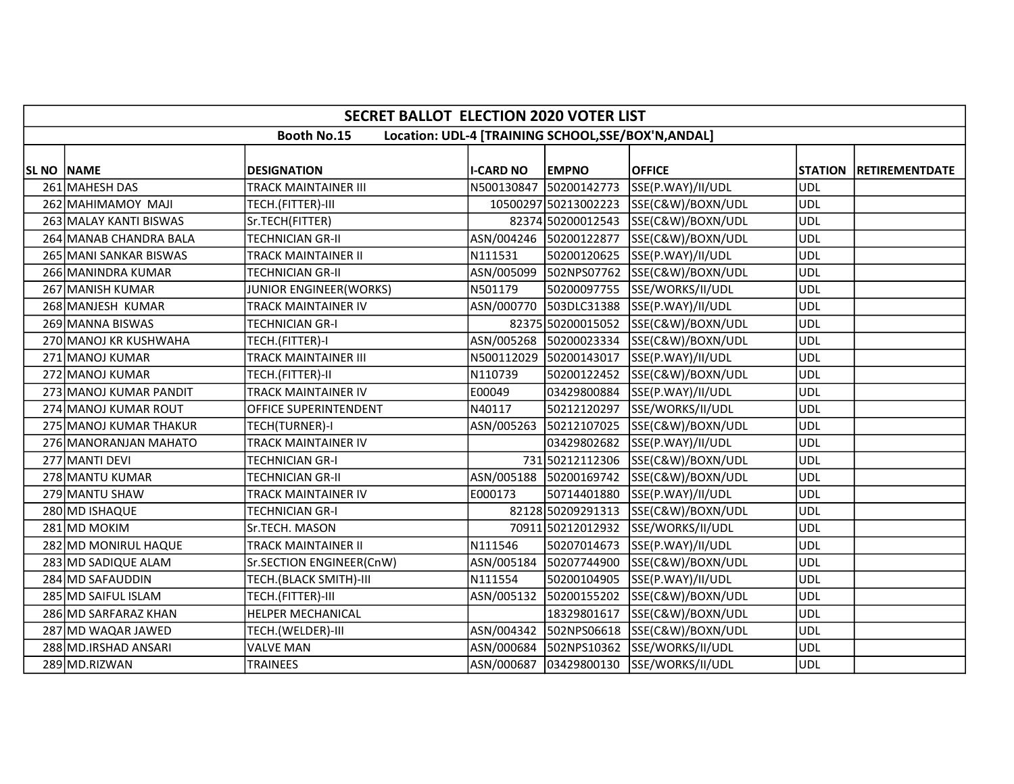|                   | <b>SECRET BALLOT ELECTION 2020 VOTER LIST</b>                             |                               |                  |                        |                                          |                |                       |  |  |  |  |
|-------------------|---------------------------------------------------------------------------|-------------------------------|------------------|------------------------|------------------------------------------|----------------|-----------------------|--|--|--|--|
|                   | <b>Booth No.15</b><br>Location: UDL-4 [TRAINING SCHOOL, SSE/BOX'N, ANDAL] |                               |                  |                        |                                          |                |                       |  |  |  |  |
| <b>SL NO NAME</b> |                                                                           | <b>DESIGNATION</b>            | <b>I-CARD NO</b> | <b>EMPNO</b>           | <b>OFFICE</b>                            | <b>STATION</b> | <b>RETIREMENTDATE</b> |  |  |  |  |
|                   | 261 MAHESH DAS                                                            | TRACK MAINTAINER III          | N500130847       | 50200142773            | SSE(P.WAY)/II/UDL                        | <b>UDL</b>     |                       |  |  |  |  |
|                   | 262 MAHIMAMOY MAJI                                                        | TECH.(FITTER)-III             |                  | 10500297 50213002223   | SSE(C&W)/BOXN/UDL                        | <b>UDL</b>     |                       |  |  |  |  |
|                   | 263 MALAY KANTI BISWAS                                                    | Sr.TECH(FITTER)               |                  | 82374 50200012543      | SSE(C&W)/BOXN/UDL                        | <b>UDL</b>     |                       |  |  |  |  |
|                   | 264 MANAB CHANDRA BALA                                                    | <b>TECHNICIAN GR-II</b>       |                  | ASN/004246 50200122877 | SSE(C&W)/BOXN/UDL                        | <b>UDL</b>     |                       |  |  |  |  |
|                   | 265 MANI SANKAR BISWAS                                                    | TRACK MAINTAINER II           | N111531          | 50200120625            | SSE(P.WAY)/II/UDL                        | <b>UDL</b>     |                       |  |  |  |  |
|                   | 266 MANINDRA KUMAR                                                        | <b>TECHNICIAN GR-II</b>       | ASN/005099       |                        | 502NPS07762 SSE(C&W)/BOXN/UDL            | <b>UDL</b>     |                       |  |  |  |  |
|                   | 267 MANISH KUMAR                                                          | <b>JUNIOR ENGINEER(WORKS)</b> | N501179          | 50200097755            | SSE/WORKS/II/UDL                         | <b>UDL</b>     |                       |  |  |  |  |
|                   | 268 MANJESH KUMAR                                                         | TRACK MAINTAINER IV           |                  |                        | ASN/000770 503DLC31388 SSE(P.WAY)/II/UDL | <b>UDL</b>     |                       |  |  |  |  |
|                   | 269 MANNA BISWAS                                                          | <b>TECHNICIAN GR-I</b>        |                  |                        | 82375 50200015052 SSE(C&W)/BOXN/UDL      | <b>UDL</b>     |                       |  |  |  |  |
|                   | 270 MANOJ KR KUSHWAHA                                                     | TECH.(FITTER)-I               |                  | ASN/005268 50200023334 | SSE(C&W)/BOXN/UDL                        | <b>UDL</b>     |                       |  |  |  |  |
|                   | 271 MANOJ KUMAR                                                           | <b>TRACK MAINTAINER III</b>   | N500112029       | 50200143017            | SSE(P.WAY)/II/UDL                        | <b>UDL</b>     |                       |  |  |  |  |
|                   | 272 MANOJ KUMAR                                                           | TECH.(FITTER)-II              | N110739          | 50200122452            | SSE(C&W)/BOXN/UDL                        | <b>UDL</b>     |                       |  |  |  |  |
|                   | 273 MANOJ KUMAR PANDIT                                                    | TRACK MAINTAINER IV           | E00049           | 03429800884            | SSE(P.WAY)/II/UDL                        | <b>UDL</b>     |                       |  |  |  |  |
|                   | 274 MANOJ KUMAR ROUT                                                      | OFFICE SUPERINTENDENT         | N40117           | 50212120297            | SSE/WORKS/II/UDL                         | <b>UDL</b>     |                       |  |  |  |  |
|                   | 275 MANOJ KUMAR THAKUR                                                    | TECH(TURNER)-I                | ASN/005263       | 50212107025            | SSE(C&W)/BOXN/UDL                        | <b>UDL</b>     |                       |  |  |  |  |
|                   | 276 MANORANJAN MAHATO                                                     | <b>TRACK MAINTAINER IV</b>    |                  | 03429802682            | SSE(P.WAY)/II/UDL                        | <b>UDL</b>     |                       |  |  |  |  |
|                   | 277 MANTI DEVI                                                            | <b>TECHNICIAN GR-I</b>        |                  |                        | 731 50212112306 SSE(C&W)/BOXN/UDL        | <b>UDL</b>     |                       |  |  |  |  |
|                   | 278 MANTU KUMAR                                                           | <b>TECHNICIAN GR-II</b>       | ASN/005188       |                        | 50200169742 SSE(C&W)/BOXN/UDL            | <b>UDL</b>     |                       |  |  |  |  |
|                   | 279 MANTU SHAW                                                            | TRACK MAINTAINER IV           | E000173          |                        | 50714401880 SSE(P.WAY)/II/UDL            | <b>UDL</b>     |                       |  |  |  |  |
|                   | 280 MD ISHAQUE                                                            | <b>TECHNICIAN GR-I</b>        |                  | 82128 50209291313      | SSE(C&W)/BOXN/UDL                        | <b>UDL</b>     |                       |  |  |  |  |
|                   | 281 MD MOKIM                                                              | Sr.TECH. MASON                |                  |                        | 70911 50212012932 SSE/WORKS/II/UDL       | <b>UDL</b>     |                       |  |  |  |  |
|                   | 282 MD MONIRUL HAQUE                                                      | <b>TRACK MAINTAINER II</b>    | N111546          | 50207014673            | SSE(P.WAY)/II/UDL                        | <b>UDL</b>     |                       |  |  |  |  |
|                   | 283 MD SADIQUE ALAM                                                       | Sr.SECTION ENGINEER(CnW)      | ASN/005184       | 50207744900            | SSE(C&W)/BOXN/UDL                        | <b>UDL</b>     |                       |  |  |  |  |
|                   | 284 MD SAFAUDDIN                                                          | TECH.(BLACK SMITH)-III        | N111554          | 50200104905            | SSE(P.WAY)/II/UDL                        | <b>UDL</b>     |                       |  |  |  |  |
|                   | 285 MD SAIFUL ISLAM                                                       | TECH.(FITTER)-III             |                  | ASN/005132 50200155202 | SSE(C&W)/BOXN/UDL                        | <b>UDL</b>     |                       |  |  |  |  |
|                   | 286 MD SARFARAZ KHAN                                                      | HELPER MECHANICAL             |                  |                        | 18329801617   SSE(C&W)/BOXN/UDL          | <b>UDL</b>     |                       |  |  |  |  |
|                   | 287 MD WAQAR JAWED                                                        | TECH.(WELDER)-III             | ASN/004342       |                        | 502NPS06618 SSE(C&W)/BOXN/UDL            | <b>UDL</b>     |                       |  |  |  |  |
|                   | 288 MD.IRSHAD ANSARI                                                      | <b>VALVE MAN</b>              |                  |                        | ASN/000684 502NPS10362 SSE/WORKS/II/UDL  | <b>UDL</b>     |                       |  |  |  |  |
|                   | 289 MD.RIZWAN                                                             | <b>TRAINEES</b>               |                  |                        | ASN/000687 03429800130 SSE/WORKS/II/UDL  | <b>UDL</b>     |                       |  |  |  |  |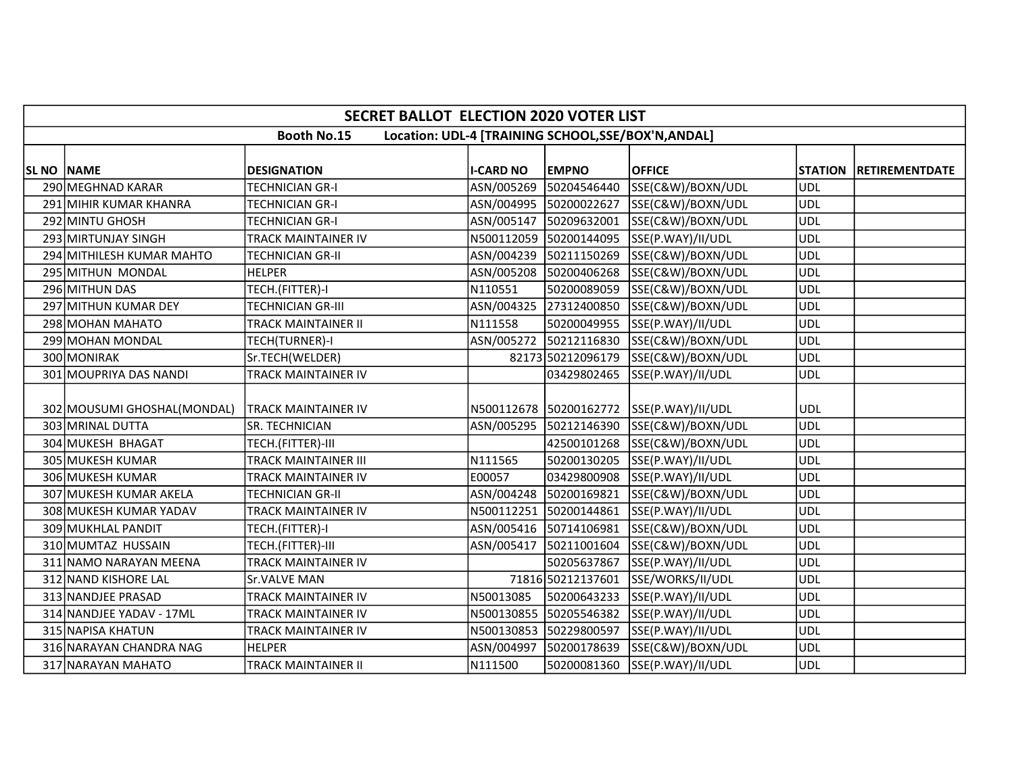|            | <b>SECRET BALLOT ELECTION 2020 VOTER LIST</b>                             |                             |                  |                        |                                          |                |                        |  |  |  |  |
|------------|---------------------------------------------------------------------------|-----------------------------|------------------|------------------------|------------------------------------------|----------------|------------------------|--|--|--|--|
|            | <b>Booth No.15</b><br>Location: UDL-4 [TRAINING SCHOOL, SSE/BOX'N, ANDAL] |                             |                  |                        |                                          |                |                        |  |  |  |  |
|            |                                                                           |                             |                  |                        |                                          |                |                        |  |  |  |  |
| SL NO NAME |                                                                           | <b>DESIGNATION</b>          | <b>I-CARD NO</b> | <b>EMPNO</b>           | <b>OFFICE</b>                            | <b>STATION</b> | <b>IRETIREMENTDATE</b> |  |  |  |  |
|            | 290 MEGHNAD KARAR                                                         | TECHNICIAN GR-I             | ASN/005269       | 50204546440            | SSE(C&W)/BOXN/UDL                        | <b>UDL</b>     |                        |  |  |  |  |
|            | 291 MIHIR KUMAR KHANRA                                                    | <b>TECHNICIAN GR-I</b>      |                  | ASN/004995 50200022627 | SSE(C&W)/BOXN/UDL                        | <b>UDL</b>     |                        |  |  |  |  |
|            | 292 MINTU GHOSH                                                           | <b>TECHNICIAN GR-I</b>      |                  | ASN/005147 50209632001 | SSE(C&W)/BOXN/UDL                        | <b>UDL</b>     |                        |  |  |  |  |
|            | 293 MIRTUNJAY SINGH                                                       | TRACK MAINTAINER IV         |                  | N500112059 50200144095 | SSE(P.WAY)/II/UDL                        | ludl           |                        |  |  |  |  |
|            | 294 MITHILESH KUMAR MAHTO                                                 | <b>TECHNICIAN GR-II</b>     |                  | ASN/004239 50211150269 | SSE(C&W)/BOXN/UDL                        | <b>UDL</b>     |                        |  |  |  |  |
|            | 295 MITHUN MONDAL                                                         | <b>HELPER</b>               |                  | ASN/005208 50200406268 | SSE(C&W)/BOXN/UDL                        | <b>UDL</b>     |                        |  |  |  |  |
|            | 296 MITHUN DAS                                                            | TECH.(FITTER)-I             | N110551          | 50200089059            | SSE(C&W)/BOXN/UDL                        | <b>UDL</b>     |                        |  |  |  |  |
|            | 297 MITHUN KUMAR DEY                                                      | <b>TECHNICIAN GR-III</b>    |                  | ASN/004325 27312400850 | SSE(C&W)/BOXN/UDL                        | <b>UDL</b>     |                        |  |  |  |  |
|            | 298 MOHAN MAHATO                                                          | TRACK MAINTAINER II         | N111558          |                        | 50200049955 SSE(P.WAY)/II/UDL            | <b>UDL</b>     |                        |  |  |  |  |
|            | 299 MOHAN MONDAL                                                          | TECH(TURNER)-I              |                  |                        | ASN/005272 50212116830 SSE(C&W)/BOXN/UDL | <b>UDL</b>     |                        |  |  |  |  |
|            | 300 MONIRAK                                                               | Sr.TECH(WELDER)             |                  | 82173 50212096179      | SSE(C&W)/BOXN/UDL                        | <b>UDL</b>     |                        |  |  |  |  |
|            | 301 MOUPRIYA DAS NANDI                                                    | <b>TRACK MAINTAINER IV</b>  |                  | 03429802465            | SSE(P.WAY)/II/UDL                        | <b>UDL</b>     |                        |  |  |  |  |
|            |                                                                           |                             |                  |                        |                                          |                |                        |  |  |  |  |
|            | 302 MOUSUMI GHOSHAL (MONDAL)                                              | <b>TRACK MAINTAINER IV</b>  |                  |                        | N500112678 50200162772 SSE(P.WAY)/II/UDL | <b>UDL</b>     |                        |  |  |  |  |
|            | 303 MRINAL DUTTA                                                          | SR. TECHNICIAN              |                  |                        | ASN/005295 50212146390 SSE(C&W)/BOXN/UDL | <b>UDL</b>     |                        |  |  |  |  |
|            | 304 MUKESH BHAGAT                                                         | TECH.(FITTER)-III           |                  | 42500101268            | SSE(C&W)/BOXN/UDL                        | <b>UDL</b>     |                        |  |  |  |  |
|            | 305 MUKESH KUMAR                                                          | <b>TRACK MAINTAINER III</b> | N111565          |                        | 50200130205 SSE(P.WAY)/II/UDL            | ludl           |                        |  |  |  |  |
|            | 306 MUKESH KUMAR                                                          | TRACK MAINTAINER IV         | E00057           |                        | 03429800908 SSE(P.WAY)/II/UDL            | <b>UDL</b>     |                        |  |  |  |  |
|            | 307 MUKESH KUMAR AKELA                                                    | <b>TECHNICIAN GR-II</b>     |                  | ASN/004248 50200169821 | SSE(C&W)/BOXN/UDL                        | <b>UDL</b>     |                        |  |  |  |  |
|            | 308 MUKESH KUMAR YADAV                                                    | <b>TRACK MAINTAINER IV</b>  |                  | N500112251 50200144861 | SSE(P.WAY)/II/UDL                        | <b>UDL</b>     |                        |  |  |  |  |
|            | 309 MUKHLAL PANDIT                                                        | TECH.(FITTER)-I             |                  | ASN/005416 50714106981 | SSE(C&W)/BOXN/UDL                        | <b>UDL</b>     |                        |  |  |  |  |
|            | 310 MUMTAZ HUSSAIN                                                        | TECH.(FITTER)-III           |                  | ASN/005417 50211001604 | SSE(C&W)/BOXN/UDL                        | <b>UDL</b>     |                        |  |  |  |  |
|            | 311 NAMO NARAYAN MEENA                                                    | TRACK MAINTAINER IV         |                  | 50205637867            | SSE(P.WAY)/II/UDL                        | <b>UDL</b>     |                        |  |  |  |  |
|            | 312 NAND KISHORE LAL                                                      | <b>Sr.VALVE MAN</b>         |                  | 71816 50212137601      | SSE/WORKS/II/UDL                         | <b>UDL</b>     |                        |  |  |  |  |
|            | 313 NANDJEE PRASAD                                                        | <b>TRACK MAINTAINER IV</b>  | N50013085        | 50200643233            | SSE(P.WAY)/II/UDL                        | <b>UDL</b>     |                        |  |  |  |  |
|            | 314 NANDJEE YADAV - 17ML                                                  | TRACK MAINTAINER IV         |                  |                        | N500130855 50205546382 SSE(P.WAY)/II/UDL | ludl           |                        |  |  |  |  |
|            | 315 NAPISA KHATUN                                                         | TRACK MAINTAINER IV         |                  | N500130853 50229800597 | SSE(P.WAY)/II/UDL                        | <b>UDL</b>     |                        |  |  |  |  |
|            | 316 NARAYAN CHANDRA NAG                                                   | <b>HELPER</b>               |                  | ASN/004997 50200178639 | SSE(C&W)/BOXN/UDL                        | <b>UDL</b>     |                        |  |  |  |  |
|            | 317 NARAYAN MAHATO                                                        | <b>TRACK MAINTAINER II</b>  | N111500          | 50200081360            | SSE(P.WAY)/II/UDL                        | <b>UDL</b>     |                        |  |  |  |  |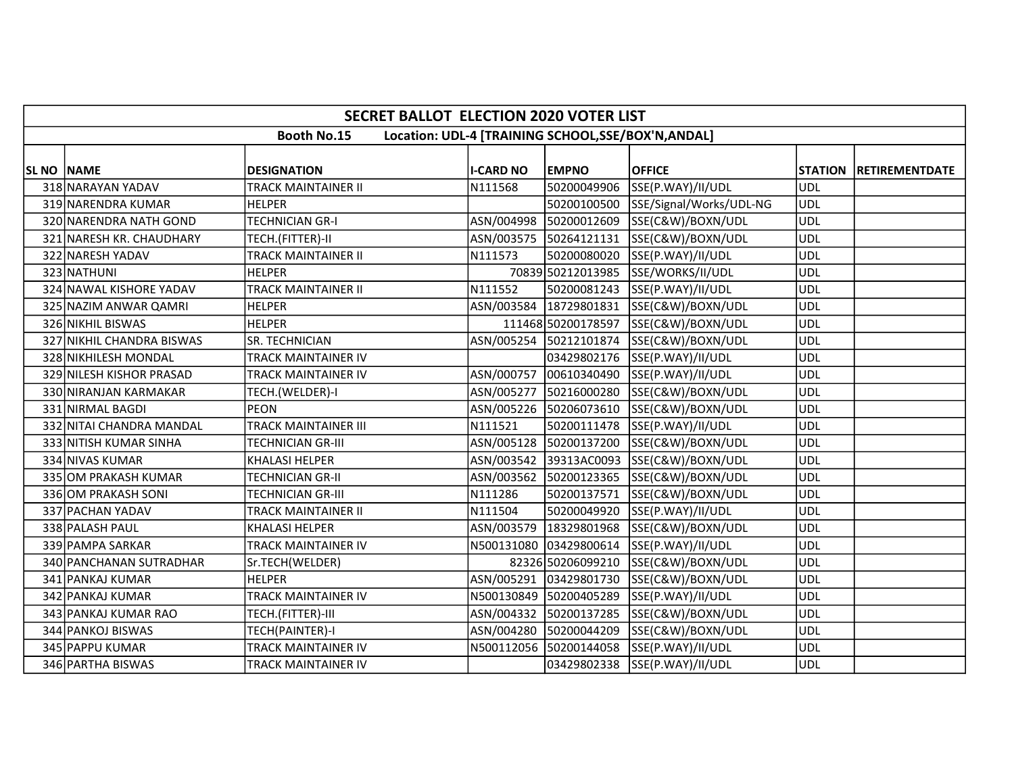|                   | <b>SECRET BALLOT ELECTION 2020 VOTER LIST</b>                             |                            |                  |                        |                                              |            |                        |  |  |  |
|-------------------|---------------------------------------------------------------------------|----------------------------|------------------|------------------------|----------------------------------------------|------------|------------------------|--|--|--|
|                   | <b>Booth No.15</b><br>Location: UDL-4 [TRAINING SCHOOL, SSE/BOX'N, ANDAL] |                            |                  |                        |                                              |            |                        |  |  |  |
| <b>SL NO NAME</b> |                                                                           | <b>DESIGNATION</b>         | <b>I-CARD NO</b> | <b>EMPNO</b>           | <b>OFFICE</b>                                |            | STATION RETIREMENTDATE |  |  |  |
|                   | 318 NARAYAN YADAV                                                         | <b>TRACK MAINTAINER II</b> | N111568          | 50200049906            | SSE(P.WAY)/II/UDL                            | <b>UDL</b> |                        |  |  |  |
|                   | 319 NARENDRA KUMAR                                                        | <b>HELPER</b>              |                  |                        | 50200100500 SSE/Signal/Works/UDL-NG          | <b>UDL</b> |                        |  |  |  |
|                   | 320 NARENDRA NATH GOND                                                    | <b>TECHNICIAN GR-I</b>     |                  | ASN/004998 50200012609 | SSE(C&W)/BOXN/UDL                            | <b>UDL</b> |                        |  |  |  |
|                   | 321 NARESH KR. CHAUDHARY                                                  | TECH.(FITTER)-II           |                  | ASN/003575 50264121131 | SSE(C&W)/BOXN/UDL                            | <b>UDL</b> |                        |  |  |  |
|                   | 322 NARESH YADAV                                                          | TRACK MAINTAINER II        | N111573          | 50200080020            | SSE(P.WAY)/II/UDL                            | <b>UDL</b> |                        |  |  |  |
|                   | 323 NATHUNI                                                               | <b>HELPER</b>              |                  |                        | 70839 50212013985 SSE/WORKS/II/UDL           | <b>UDL</b> |                        |  |  |  |
|                   | 324 NAWAL KISHORE YADAV                                                   | <b>TRACK MAINTAINER II</b> | N111552          | 50200081243            | SSE(P.WAY)/II/UDL                            | <b>UDL</b> |                        |  |  |  |
|                   | 325 NAZIM ANWAR QAMRI                                                     | <b>HELPER</b>              |                  |                        | ASN/003584 18729801831 SSE(C&W)/BOXN/UDL     | <b>UDL</b> |                        |  |  |  |
|                   | 326 NIKHIL BISWAS                                                         | <b>HELPER</b>              |                  |                        | 111468 50200178597 SSE(C&W)/BOXN/UDL         | <b>UDL</b> |                        |  |  |  |
|                   | 327 NIKHIL CHANDRA BISWAS                                                 | <b>SR. TECHNICIAN</b>      |                  | ASN/005254 50212101874 | SSE(C&W)/BOXN/UDL                            | <b>UDL</b> |                        |  |  |  |
|                   | 328 NIKHILESH MONDAL                                                      | <b>TRACK MAINTAINER IV</b> |                  |                        | 03429802176 SSE(P.WAY)/II/UDL                | <b>UDL</b> |                        |  |  |  |
|                   | 329 NILESH KISHOR PRASAD                                                  | TRACK MAINTAINER IV        |                  |                        | ASN/000757 00610340490 SSE(P.WAY)/II/UDL     | <b>UDL</b> |                        |  |  |  |
|                   | 330 NIRANJAN KARMAKAR                                                     | TECH.(WELDER)-I            |                  |                        | ASN/005277 50216000280 SSE(C&W)/BOXN/UDL     | <b>UDL</b> |                        |  |  |  |
|                   | 331 NIRMAL BAGDI                                                          | <b>PEON</b>                | ASN/005226       | 50206073610            | SSE(C&W)/BOXN/UDL                            | <b>UDL</b> |                        |  |  |  |
|                   | 332 NITAI CHANDRA MANDAL                                                  | TRACK MAINTAINER III       | N111521          |                        | 50200111478 SSE(P.WAY)/II/UDL                | <b>UDL</b> |                        |  |  |  |
|                   | 333 NITISH KUMAR SINHA                                                    | <b>TECHNICIAN GR-III</b>   |                  | ASN/005128 50200137200 | SSE(C&W)/BOXN/UDL                            | <b>UDL</b> |                        |  |  |  |
|                   | 334 NIVAS KUMAR                                                           | <b>KHALASI HELPER</b>      |                  |                        | ASN/003542 39313AC0093 SSE(C&W)/BOXN/UDL     | <b>UDL</b> |                        |  |  |  |
|                   | 335 OM PRAKASH KUMAR                                                      | <b>TECHNICIAN GR-II</b>    | ASN/003562       |                        | 50200123365 SSE(C&W)/BOXN/UDL                | <b>UDL</b> |                        |  |  |  |
|                   | 336 OM PRAKASH SONI                                                       | <b>TECHNICIAN GR-III</b>   | N111286          | 50200137571            | SSE(C&W)/BOXN/UDL                            | <b>UDL</b> |                        |  |  |  |
|                   | 337 PACHAN YADAV                                                          | <b>TRACK MAINTAINER II</b> | N111504          | 50200049920            | SSE(P.WAY)/II/UDL                            | <b>UDL</b> |                        |  |  |  |
|                   | 338 PALASH PAUL                                                           | <b>KHALASI HELPER</b>      |                  |                        | ASN/003579   18329801968   SSE(C&W)/BOXN/UDL | <b>UDL</b> |                        |  |  |  |
|                   | 339 PAMPA SARKAR                                                          | TRACK MAINTAINER IV        |                  | N500131080 03429800614 | SSE(P.WAY)/II/UDL                            | <b>UDL</b> |                        |  |  |  |
|                   | 340 PANCHANAN SUTRADHAR                                                   | Sr.TECH(WELDER)            |                  | 82326 50206099210      | SSE(C&W)/BOXN/UDL                            | <b>UDL</b> |                        |  |  |  |
|                   | 341 PANKAJ KUMAR                                                          | <b>HELPER</b>              |                  | ASN/005291 03429801730 | SSE(C&W)/BOXN/UDL                            | <b>UDL</b> |                        |  |  |  |
|                   | 342 PANKAJ KUMAR                                                          | TRACK MAINTAINER IV        |                  |                        | N500130849 50200405289 SSE(P.WAY)/II/UDL     | <b>UDL</b> |                        |  |  |  |
|                   | 343 PANKAJ KUMAR RAO                                                      | TECH.(FITTER)-III          |                  | ASN/004332 50200137285 | SSE(C&W)/BOXN/UDL                            | <b>UDL</b> |                        |  |  |  |
|                   | 344 PANKOJ BISWAS                                                         | TECH(PAINTER)-I            |                  | ASN/004280 50200044209 | SSE(C&W)/BOXN/UDL                            | <b>UDL</b> |                        |  |  |  |
|                   | 345 PAPPU KUMAR                                                           | <b>TRACK MAINTAINER IV</b> |                  | N500112056 50200144058 | SSE(P.WAY)/II/UDL                            | <b>UDL</b> |                        |  |  |  |
|                   | 346 PARTHA BISWAS                                                         | TRACK MAINTAINER IV        |                  |                        | 03429802338 SSE(P.WAY)/II/UDL                | <b>UDL</b> |                        |  |  |  |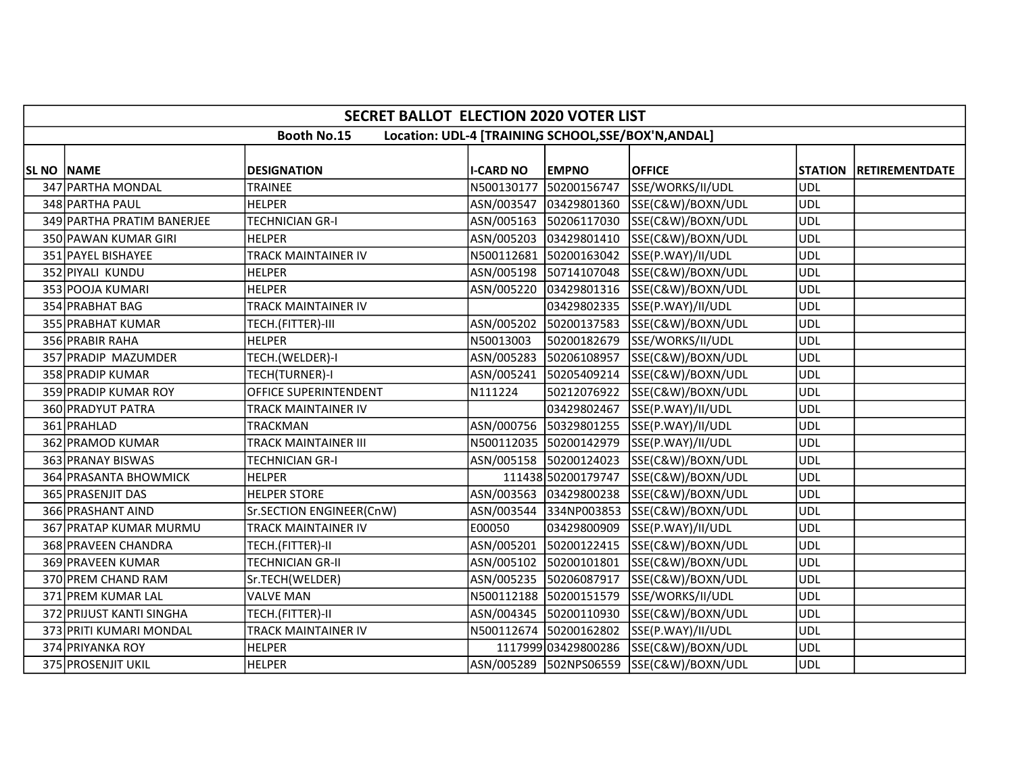|                   | <b>SECRET BALLOT ELECTION 2020 VOTER LIST</b> |                             |                  |                        |                                                     |            |                        |  |  |
|-------------------|-----------------------------------------------|-----------------------------|------------------|------------------------|-----------------------------------------------------|------------|------------------------|--|--|
|                   |                                               | <b>Booth No.15</b>          |                  |                        | Location: UDL-4 [TRAINING SCHOOL, SSE/BOX'N, ANDAL] |            |                        |  |  |
| <b>SL NO NAME</b> |                                               | <b>DESIGNATION</b>          | <b>I-CARD NO</b> | <b>EMPNO</b>           | <b>OFFICE</b>                                       |            | STATION RETIREMENTDATE |  |  |
|                   | 347 PARTHA MONDAL                             | <b>TRAINEE</b>              | N500130177       |                        | 50200156747 SSE/WORKS/II/UDL                        | <b>UDL</b> |                        |  |  |
|                   | 348 PARTHA PAUL                               | <b>HELPER</b>               |                  |                        | ASN/003547 03429801360 SSE(C&W)/BOXN/UDL            | <b>UDL</b> |                        |  |  |
|                   | 349 PARTHA PRATIM BANERJEE                    | <b>TECHNICIAN GR-I</b>      |                  |                        | ASN/005163 50206117030 SSE(C&W)/BOXN/UDL            | <b>UDL</b> |                        |  |  |
|                   |                                               |                             |                  |                        |                                                     |            |                        |  |  |
|                   | 350 PAWAN KUMAR GIRI                          | <b>HELPER</b>               |                  |                        | ASN/005203 03429801410 SSE(C&W)/BOXN/UDL            | <b>UDL</b> |                        |  |  |
|                   | 351 PAYEL BISHAYEE                            | <b>TRACK MAINTAINER IV</b>  |                  |                        | N500112681 50200163042 SSE(P.WAY)/II/UDL            | <b>UDL</b> |                        |  |  |
|                   | 352 PIYALI KUNDU                              | <b>HELPER</b>               |                  |                        | ASN/005198 50714107048 SSE(C&W)/BOXN/UDL            | <b>UDL</b> |                        |  |  |
|                   | 353 POOJA KUMARI                              | <b>HELPER</b>               | ASN/005220       |                        | 03429801316 SSE(C&W)/BOXN/UDL                       | <b>UDL</b> |                        |  |  |
|                   | 354 PRABHAT BAG                               | <b>TRACK MAINTAINER IV</b>  |                  |                        | 03429802335 SSE(P.WAY)/II/UDL                       | <b>UDL</b> |                        |  |  |
|                   | 355 PRABHAT KUMAR                             | TECH.(FITTER)-III           | ASN/005202       |                        | 50200137583 SSE(C&W)/BOXN/UDL                       | <b>UDL</b> |                        |  |  |
|                   | 356 PRABIR RAHA                               | <b>HELPER</b>               | N50013003        |                        | 50200182679 SSE/WORKS/II/UDL                        | <b>UDL</b> |                        |  |  |
|                   | 357 PRADIP MAZUMDER                           | TECH.(WELDER)-I             |                  |                        | ASN/005283 50206108957 SSE(C&W)/BOXN/UDL            | <b>UDL</b> |                        |  |  |
|                   | 358 PRADIP KUMAR                              | TECH(TURNER)-I              |                  |                        | ASN/005241  50205409214  SSE(C&W)/BOXN/UDL          | <b>UDL</b> |                        |  |  |
|                   | 359 PRADIP KUMAR ROY                          | OFFICE SUPERINTENDENT       | N111224          |                        | 50212076922 SSE(C&W)/BOXN/UDL                       | <b>UDL</b> |                        |  |  |
|                   | 360 PRADYUT PATRA                             | TRACK MAINTAINER IV         |                  |                        | 03429802467 SSE(P.WAY)/II/UDL                       | <b>UDL</b> |                        |  |  |
|                   | 361 PRAHLAD                                   | <b>TRACKMAN</b>             |                  |                        | ASN/000756 50329801255 SSE(P.WAY)/II/UDL            | <b>UDL</b> |                        |  |  |
|                   | 362 PRAMOD KUMAR                              | <b>TRACK MAINTAINER III</b> |                  |                        | N500112035 50200142979 SSE(P.WAY)/II/UDL            | <b>UDL</b> |                        |  |  |
|                   | 363 PRANAY BISWAS                             | <b>TECHNICIAN GR-I</b>      |                  |                        | ASN/005158 50200124023 SSE(C&W)/BOXN/UDL            | UDL        |                        |  |  |
|                   | 364 PRASANTA BHOWMICK                         | <b>HELPER</b>               |                  |                        | 111438 50200179747 SSE(C&W)/BOXN/UDL                | <b>UDL</b> |                        |  |  |
|                   | 365 PRASENJIT DAS                             | <b>HELPER STORE</b>         |                  |                        | ASN/003563 03429800238 SSE(C&W)/BOXN/UDL            | <b>UDL</b> |                        |  |  |
|                   | 366 PRASHANT AIND                             | Sr.SECTION ENGINEER(CnW)    |                  |                        | ASN/003544 334NP003853 SSE(C&W)/BOXN/UDL            | <b>UDL</b> |                        |  |  |
|                   | 367 PRATAP KUMAR MURMU                        | <b>TRACK MAINTAINER IV</b>  | E00050           |                        | 03429800909 SSE(P.WAY)/II/UDL                       | <b>UDL</b> |                        |  |  |
|                   | 368 PRAVEEN CHANDRA                           | TECH.(FITTER)-II            |                  |                        | ASN/005201 50200122415 SSE(C&W)/BOXN/UDL            | <b>UDL</b> |                        |  |  |
|                   | 369 PRAVEEN KUMAR                             | <b>TECHNICIAN GR-II</b>     | ASN/005102       | 50200101801            | SSE(C&W)/BOXN/UDL                                   | <b>UDL</b> |                        |  |  |
|                   | 370 PREM CHAND RAM                            | Sr.TECH(WELDER)             |                  | ASN/005235 50206087917 | SSE(C&W)/BOXN/UDL                                   | <b>UDL</b> |                        |  |  |
|                   | 371 PREM KUMAR LAL                            | <b>VALVE MAN</b>            |                  |                        | N500112188 50200151579 SSE/WORKS/II/UDL             | <b>UDL</b> |                        |  |  |
|                   | 372 PRIJUST KANTI SINGHA                      | TECH.(FITTER)-II            |                  |                        | ASN/004345 50200110930 SSE(C&W)/BOXN/UDL            | <b>UDL</b> |                        |  |  |
|                   | 373 PRITI KUMARI MONDAL                       | TRACK MAINTAINER IV         |                  |                        | N500112674 50200162802 SSE(P.WAY)/II/UDL            | <b>UDL</b> |                        |  |  |
|                   | 374 PRIYANKA ROY                              | <b>HELPER</b>               |                  |                        | 1117999 03429800286 SSE(C&W)/BOXN/UDL               | <b>UDL</b> |                        |  |  |
|                   | 375 PROSENJIT UKIL                            | <b>HELPER</b>               |                  |                        | ASN/005289 502NPS06559 SSE(C&W)/BOXN/UDL            | <b>UDL</b> |                        |  |  |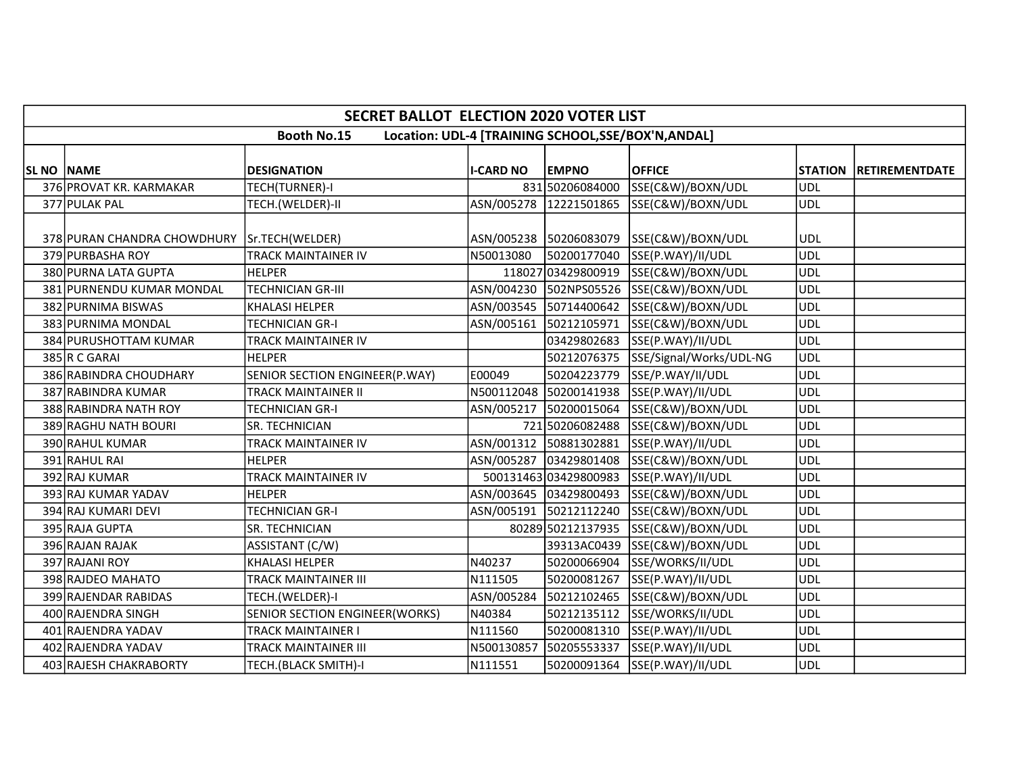|            | <b>SECRET BALLOT ELECTION 2020 VOTER LIST</b> |                                |                  |                        |                                                     |                |                       |  |  |
|------------|-----------------------------------------------|--------------------------------|------------------|------------------------|-----------------------------------------------------|----------------|-----------------------|--|--|
|            |                                               | <b>Booth No.15</b>             |                  |                        | Location: UDL-4 [TRAINING SCHOOL, SSE/BOX'N, ANDAL] |                |                       |  |  |
| SL NO NAME |                                               | <b>DESIGNATION</b>             | <b>I-CARD NO</b> | <b>EMPNO</b>           | <b>OFFICE</b>                                       | <b>STATION</b> | <b>RETIREMENTDATE</b> |  |  |
|            | 376 PROVAT KR. KARMAKAR                       | TECH(TURNER)-I                 |                  | 831 50206084000        | SSE(C&W)/BOXN/UDL                                   | <b>UDL</b>     |                       |  |  |
|            | 377 PULAK PAL                                 | TECH.(WELDER)-II               |                  |                        | ASN/005278 12221501865 SSE(C&W)/BOXN/UDL            | <b>UDL</b>     |                       |  |  |
|            | 378 PURAN CHANDRA CHOWDHURY Sr.TECH (WELDER)  |                                |                  |                        | ASN/005238 50206083079 SSE(C&W)/BOXN/UDL            | <b>UDL</b>     |                       |  |  |
|            | 379 PURBASHA ROY                              | TRACK MAINTAINER IV            | N50013080        |                        | 50200177040 SSE(P.WAY)/II/UDL                       | <b>UDL</b>     |                       |  |  |
|            | 380 PURNA LATA GUPTA                          | <b>HELPER</b>                  |                  |                        | 118027 03429800919 SSE(C&W)/BOXN/UDL                | <b>UDL</b>     |                       |  |  |
|            | 381 PURNENDU KUMAR MONDAL                     | <b>TECHNICIAN GR-III</b>       |                  |                        | ASN/004230 502NPS05526 SSE(C&W)/BOXN/UDL            | <b>UDL</b>     |                       |  |  |
|            | 382 PURNIMA BISWAS                            | <b>KHALASI HELPER</b>          |                  |                        | ASN/003545 50714400642 SSE(C&W)/BOXN/UDL            | UDL            |                       |  |  |
|            | 383 PURNIMA MONDAL                            | <b>TECHNICIAN GR-I</b>         |                  | ASN/005161 50212105971 | SSE(C&W)/BOXN/UDL                                   | <b>UDL</b>     |                       |  |  |
|            | 384 PURUSHOTTAM KUMAR                         | TRACK MAINTAINER IV            |                  | 03429802683            | SSE(P.WAY)/II/UDL                                   | <b>UDL</b>     |                       |  |  |
|            | 385 R C GARAI                                 | <b>HELPER</b>                  |                  |                        | 50212076375 SSE/Signal/Works/UDL-NG                 | <b>UDL</b>     |                       |  |  |
|            | 386 RABINDRA CHOUDHARY                        | SENIOR SECTION ENGINEER(P.WAY) | E00049           |                        | 50204223779 SSE/P.WAY/II/UDL                        | <b>UDL</b>     |                       |  |  |
|            | 387 RABINDRA KUMAR                            | TRACK MAINTAINER II            |                  |                        | N500112048 50200141938 SSE(P.WAY)/II/UDL            | <b>UDL</b>     |                       |  |  |
|            | 388 RABINDRA NATH ROY                         | TECHNICIAN GR-I                |                  | ASN/005217 50200015064 | SSE(C&W)/BOXN/UDL                                   | <b>UDL</b>     |                       |  |  |
|            | 389 RAGHU NATH BOURI                          | SR. TECHNICIAN                 |                  | 721 50206082488        | SSE(C&W)/BOXN/UDL                                   | <b>UDL</b>     |                       |  |  |
|            | 390 RAHUL KUMAR                               | TRACK MAINTAINER IV            |                  | ASN/001312 50881302881 | SSE(P.WAY)/II/UDL                                   | <b>UDL</b>     |                       |  |  |
|            | 391 RAHUL RAI                                 | <b>HELPER</b>                  |                  |                        | ASN/005287 03429801408 SSE(C&W)/BOXN/UDL            | <b>UDL</b>     |                       |  |  |
|            | 392 RAJ KUMAR                                 | TRACK MAINTAINER IV            |                  | 500131463 03429800983  | SSE(P.WAY)/II/UDL                                   | <b>UDL</b>     |                       |  |  |
|            | 393 RAJ KUMAR YADAV                           | <b>HELPER</b>                  |                  |                        | ASN/003645 03429800493 SSE(C&W)/BOXN/UDL            | <b>UDL</b>     |                       |  |  |
|            | 394 RAJ KUMARI DEVI                           | <b>TECHNICIAN GR-I</b>         |                  | ASN/005191 50212112240 | SSE(C&W)/BOXN/UDL                                   | <b>UDL</b>     |                       |  |  |
|            | 395 RAJA GUPTA                                | SR. TECHNICIAN                 |                  |                        | 80289 50212137935 SSE(C&W)/BOXN/UDL                 | ludl           |                       |  |  |
|            | 396 RAJAN RAJAK                               | ASSISTANT (C/W)                |                  |                        | 39313AC0439 SSE(C&W)/BOXN/UDL                       | <b>UDL</b>     |                       |  |  |
|            | 397 RAJANI ROY                                | <b>KHALASI HELPER</b>          | N40237           | 50200066904            | SSE/WORKS/II/UDL                                    | <b>UDL</b>     |                       |  |  |
|            | 398 RAJDEO MAHATO                             | TRACK MAINTAINER III           | N111505          | 50200081267            | SSE(P.WAY)/II/UDL                                   | <b>UDL</b>     |                       |  |  |
|            | 399 RAJENDAR RABIDAS                          | TECH.(WELDER)-I                | ASN/005284       | 50212102465            | SSE(C&W)/BOXN/UDL                                   | <b>UDL</b>     |                       |  |  |
|            | 400 RAJENDRA SINGH                            | SENIOR SECTION ENGINEER(WORKS) | N40384           |                        | 50212135112 SSE/WORKS/II/UDL                        | <b>UDL</b>     |                       |  |  |
|            | 401 RAJENDRA YADAV                            | TRACK MAINTAINER I             | N111560          | 50200081310            | SSE(P.WAY)/II/UDL                                   | <b>UDL</b>     |                       |  |  |
|            | 402 RAJENDRA YADAV                            | <b>TRACK MAINTAINER III</b>    | N500130857       | 50205553337            | SSE(P.WAY)/II/UDL                                   | <b>UDL</b>     |                       |  |  |
|            | 403 RAJESH CHAKRABORTY                        | TECH.(BLACK SMITH)-I           | N111551          | 50200091364            | SSE(P.WAY)/II/UDL                                   | <b>UDL</b>     |                       |  |  |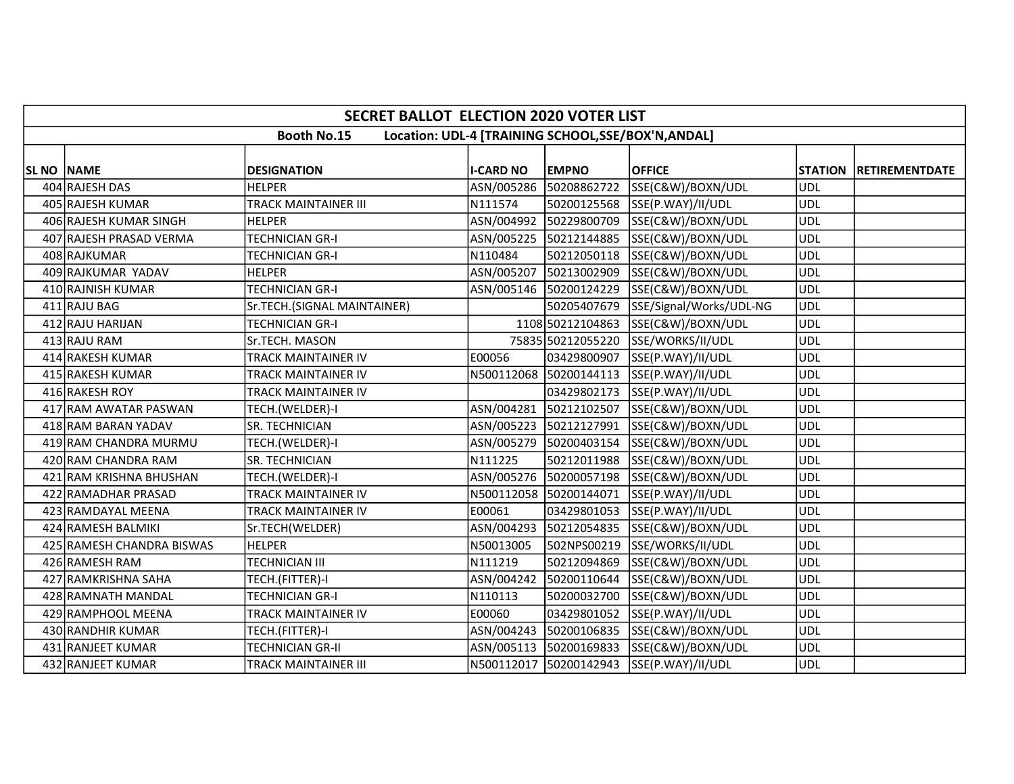|            | <b>SECRET BALLOT ELECTION 2020 VOTER LIST</b>                             |                             |                  |                        |                                          |            |                        |  |  |
|------------|---------------------------------------------------------------------------|-----------------------------|------------------|------------------------|------------------------------------------|------------|------------------------|--|--|
|            | <b>Booth No.15</b><br>Location: UDL-4 [TRAINING SCHOOL, SSE/BOX'N, ANDAL] |                             |                  |                        |                                          |            |                        |  |  |
|            |                                                                           |                             |                  |                        |                                          |            |                        |  |  |
| SL NO NAME |                                                                           | <b>DESIGNATION</b>          | <b>I-CARD NO</b> | <b>EMPNO</b>           | <b>OFFICE</b>                            |            | STATION RETIREMENTDATE |  |  |
|            | 404 RAJESH DAS                                                            | <b>HELPER</b>               | ASN/005286       | 50208862722            | SSE(C&W)/BOXN/UDL                        | <b>UDL</b> |                        |  |  |
|            | 405 RAJESH KUMAR                                                          | <b>TRACK MAINTAINER III</b> | N111574          |                        | 50200125568 SSE(P.WAY)/II/UDL            | <b>UDL</b> |                        |  |  |
|            | 406 RAJESH KUMAR SINGH                                                    | <b>HELPER</b>               | ASN/004992       | 50229800709            | SSE(C&W)/BOXN/UDL                        | <b>UDL</b> |                        |  |  |
|            | 407 RAJESH PRASAD VERMA                                                   | <b>TECHNICIAN GR-I</b>      |                  |                        | ASN/005225 50212144885 SSE(C&W)/BOXN/UDL | <b>UDL</b> |                        |  |  |
|            | 408 RAJKUMAR                                                              | TECHNICIAN GR-I             | N110484          |                        | 50212050118 SSE(C&W)/BOXN/UDL            | <b>UDL</b> |                        |  |  |
|            | 409 RAJKUMAR YADAV                                                        | <b>HELPER</b>               | ASN/005207       | 50213002909            | SSE(C&W)/BOXN/UDL                        | <b>UDL</b> |                        |  |  |
|            | 410 RAJNISH KUMAR                                                         | <b>TECHNICIAN GR-I</b>      |                  | ASN/005146 50200124229 | SSE(C&W)/BOXN/UDL                        | <b>UDL</b> |                        |  |  |
|            | 411 RAJU BAG                                                              | Sr.TECH.(SIGNAL MAINTAINER) |                  | 50205407679            | SSE/Signal/Works/UDL-NG                  | <b>UDL</b> |                        |  |  |
|            | 412 RAJU HARIJAN                                                          | <b>TECHNICIAN GR-I</b>      |                  |                        | 1108 50212104863 SSE(C&W)/BOXN/UDL       | <b>UDL</b> |                        |  |  |
|            | 413 RAJU RAM                                                              | Sr.TECH. MASON              |                  |                        | 75835 50212055220 SSE/WORKS/II/UDL       | <b>UDL</b> |                        |  |  |
|            | 414 RAKESH KUMAR                                                          | <b>TRACK MAINTAINER IV</b>  | E00056           |                        | 03429800907 SSE(P.WAY)/II/UDL            | <b>UDL</b> |                        |  |  |
|            | 415 RAKESH KUMAR                                                          | TRACK MAINTAINER IV         |                  |                        | N500112068 50200144113 SSE(P.WAY)/II/UDL | <b>UDL</b> |                        |  |  |
|            | 416 RAKESH ROY                                                            | TRACK MAINTAINER IV         |                  |                        | 03429802173 SSE(P.WAY)/II/UDL            | <b>UDL</b> |                        |  |  |
|            | 417 RAM AWATAR PASWAN                                                     | TECH.(WELDER)-I             | ASN/004281       | 50212102507            | SSE(C&W)/BOXN/UDL                        | <b>UDL</b> |                        |  |  |
|            | 418 RAM BARAN YADAV                                                       | SR. TECHNICIAN              |                  | ASN/005223 50212127991 | SSE(C&W)/BOXN/UDL                        | <b>UDL</b> |                        |  |  |
|            | 419 RAM CHANDRA MURMU                                                     | TECH.(WELDER)-I             |                  | ASN/005279 50200403154 | SSE(C&W)/BOXN/UDL                        | <b>UDL</b> |                        |  |  |
|            | 420 RAM CHANDRA RAM                                                       | <b>SR. TECHNICIAN</b>       | N111225          |                        | 50212011988 SSE(C&W)/BOXN/UDL            | <b>UDL</b> |                        |  |  |
|            | 421 RAM KRISHNA BHUSHAN                                                   | TECH.(WELDER)-I             |                  |                        | ASN/005276 50200057198 SSE(C&W)/BOXN/UDL | <b>UDL</b> |                        |  |  |
|            | 422 RAMADHAR PRASAD                                                       | TRACK MAINTAINER IV         |                  | N500112058 50200144071 | SSE(P.WAY)/II/UDL                        | <b>UDL</b> |                        |  |  |
|            | 423 RAMDAYAL MEENA                                                        | <b>TRACK MAINTAINER IV</b>  | E00061           | 03429801053            | SSE(P.WAY)/II/UDL                        | <b>UDL</b> |                        |  |  |
|            | 424 RAMESH BALMIKI                                                        | Sr.TECH(WELDER)             | ASN/004293       | 50212054835            | SSE(C&W)/BOXN/UDL                        | <b>UDL</b> |                        |  |  |
|            | 425 RAMESH CHANDRA BISWAS                                                 | <b>HELPER</b>               | N50013005        | 502NPS00219            | SSE/WORKS/II/UDL                         | <b>UDL</b> |                        |  |  |
|            | 426 RAMESH RAM                                                            | <b>TECHNICIAN III</b>       | N111219          | 50212094869            | SSE(C&W)/BOXN/UDL                        | <b>UDL</b> |                        |  |  |
|            | 427 RAMKRISHNA SAHA                                                       | TECH.(FITTER)-I             | ASN/004242       | 50200110644            | SSE(C&W)/BOXN/UDL                        | <b>UDL</b> |                        |  |  |
|            | 428 RAMNATH MANDAL                                                        | <b>TECHNICIAN GR-I</b>      | N110113          | 50200032700            | SSE(C&W)/BOXN/UDL                        | <b>UDL</b> |                        |  |  |
|            | 429 RAMPHOOL MEENA                                                        | <b>TRACK MAINTAINER IV</b>  | E00060           |                        | 03429801052 SSE(P.WAY)/II/UDL            | <b>UDL</b> |                        |  |  |
|            | 430 RANDHIR KUMAR                                                         | TECH.(FITTER)-I             | ASN/004243       | 50200106835            | SSE(C&W)/BOXN/UDL                        | <b>UDL</b> |                        |  |  |
|            | 431 RANJEET KUMAR                                                         | <b>TECHNICIAN GR-II</b>     |                  | ASN/005113 50200169833 | SSE(C&W)/BOXN/UDL                        | <b>UDL</b> |                        |  |  |
|            | 432 RANJEET KUMAR                                                         | <b>TRACK MAINTAINER III</b> |                  |                        | N500112017 50200142943 SSE(P.WAY)/II/UDL | <b>UDL</b> |                        |  |  |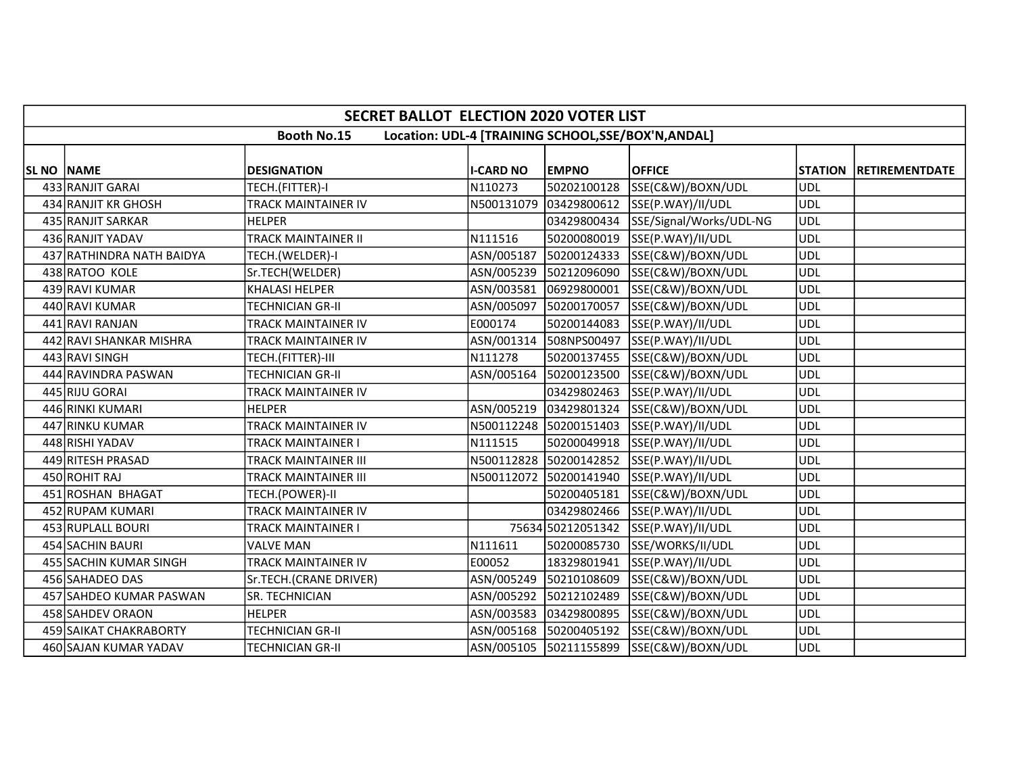|            | <b>SECRET BALLOT ELECTION 2020 VOTER LIST</b> |                            |                  |                        |                                                     |            |                        |  |
|------------|-----------------------------------------------|----------------------------|------------------|------------------------|-----------------------------------------------------|------------|------------------------|--|
|            |                                               | <b>Booth No.15</b>         |                  |                        | Location: UDL-4 [TRAINING SCHOOL, SSE/BOX'N, ANDAL] |            |                        |  |
| SL NO NAME |                                               | <b>DESIGNATION</b>         | <b>I-CARD NO</b> | <b>EMPNO</b>           | <b>OFFICE</b>                                       |            | STATION RETIREMENTDATE |  |
|            | 433 RANJIT GARAI                              | TECH.(FITTER)-I            | N110273          | 50202100128            | SSE(C&W)/BOXN/UDL                                   | <b>UDL</b> |                        |  |
|            | 434 RANJIT KR GHOSH                           | <b>TRACK MAINTAINER IV</b> |                  | N500131079 03429800612 | SSE(P.WAY)/II/UDL                                   | ludl       |                        |  |
|            | 435 RANJIT SARKAR                             | HELPER                     |                  | 03429800434            | SSE/Signal/Works/UDL-NG                             | <b>UDL</b> |                        |  |
|            | 436 RANJIT YADAV                              | <b>TRACK MAINTAINER II</b> | N111516          | 50200080019            | SSE(P.WAY)/II/UDL                                   | <b>UDL</b> |                        |  |
|            | 437 RATHINDRA NATH BAIDYA                     | TECH.(WELDER)-I            | ASN/005187       | 50200124333            | SSE(C&W)/BOXN/UDL                                   | <b>UDL</b> |                        |  |
|            | 438 RATOO KOLE                                | Sr.TECH(WELDER)            |                  |                        | ASN/005239 50212096090 SSE(C&W)/BOXN/UDL            | <b>UDL</b> |                        |  |
|            | 439 RAVI KUMAR                                | <b>KHALASI HELPER</b>      |                  | ASN/003581 06929800001 | SSE(C&W)/BOXN/UDL                                   | <b>UDL</b> |                        |  |
|            | 440 RAVI KUMAR                                | <b>TECHNICIAN GR-II</b>    |                  | ASN/005097 50200170057 | SSE(C&W)/BOXN/UDL                                   | <b>UDL</b> |                        |  |
|            | 441 RAVI RANJAN                               | TRACK MAINTAINER IV        | E000174          | 50200144083            | SSE(P.WAY)/II/UDL                                   | <b>UDL</b> |                        |  |
|            | 442 RAVI SHANKAR MISHRA                       | TRACK MAINTAINER IV        |                  | ASN/001314 508NPS00497 | SSE(P.WAY)/II/UDL                                   | <b>UDL</b> |                        |  |
|            | 443 RAVI SINGH                                | TECH.(FITTER)-III          | N111278          |                        | 50200137455 SSE(C&W)/BOXN/UDL                       | <b>UDL</b> |                        |  |
|            | 444 RAVINDRA PASWAN                           | <b>TECHNICIAN GR-II</b>    |                  |                        | ASN/005164 50200123500 SSE(C&W)/BOXN/UDL            | <b>UDL</b> |                        |  |
|            | 445 RIJU GORAI                                | TRACK MAINTAINER IV        |                  | 03429802463            | SSE(P.WAY)/II/UDL                                   | <b>UDL</b> |                        |  |
|            | 446 RINKI KUMARI                              | <b>HELPER</b>              |                  | ASN/005219 03429801324 | SSE(C&W)/BOXN/UDL                                   | <b>UDL</b> |                        |  |
|            | 447 RINKU KUMAR                               | TRACK MAINTAINER IV        |                  | N500112248 50200151403 | SSE(P.WAY)/II/UDL                                   | <b>UDL</b> |                        |  |
|            | 448 RISHI YADAV                               | TRACK MAINTAINER I         | N111515          |                        | 50200049918 SSE(P.WAY)/II/UDL                       | <b>UDL</b> |                        |  |
|            | 449 RITESH PRASAD                             | TRACK MAINTAINER III       |                  | N500112828 50200142852 | SSE(P.WAY)/II/UDL                                   | <b>UDL</b> |                        |  |
|            | 450 ROHIT RAJ                                 | TRACK MAINTAINER III       |                  | N500112072 50200141940 | SSE(P.WAY)/II/UDL                                   | <b>UDL</b> |                        |  |
|            | 451 ROSHAN BHAGAT                             | TECH.(POWER)-II            |                  | 50200405181            | SSE(C&W)/BOXN/UDL                                   | <b>UDL</b> |                        |  |
|            | 452 RUPAM KUMARI                              | TRACK MAINTAINER IV        |                  |                        | 03429802466 SSE(P.WAY)/II/UDL                       | <b>UDL</b> |                        |  |
|            | 453 RUPLALL BOURI                             | TRACK MAINTAINER I         |                  |                        | 75634 50212051342 SSE(P.WAY)/II/UDL                 | <b>UDL</b> |                        |  |
|            | 454 SACHIN BAURI                              | <b>VALVE MAN</b>           | N111611          |                        | 50200085730 SSE/WORKS/II/UDL                        | <b>UDL</b> |                        |  |
|            | 455 SACHIN KUMAR SINGH                        | TRACK MAINTAINER IV        | E00052           | 18329801941            | SSE(P.WAY)/II/UDL                                   | <b>UDL</b> |                        |  |
|            | 456 SAHADEO DAS                               | Sr.TECH.(CRANE DRIVER)     | ASN/005249       | 50210108609            | SSE(C&W)/BOXN/UDL                                   | <b>UDL</b> |                        |  |
|            | 457 SAHDEO KUMAR PASWAN                       | <b>SR. TECHNICIAN</b>      |                  | ASN/005292 50212102489 | SSE(C&W)/BOXN/UDL                                   | <b>UDL</b> |                        |  |
|            | 458 SAHDEV ORAON                              | <b>HELPER</b>              |                  | ASN/003583 03429800895 | SSE(C&W)/BOXN/UDL                                   | <b>UDL</b> |                        |  |
|            | 459 SAIKAT CHAKRABORTY                        | <b>TECHNICIAN GR-II</b>    |                  | ASN/005168 50200405192 | SSE(C&W)/BOXN/UDL                                   | <b>UDL</b> |                        |  |
|            | 460 SAJAN KUMAR YADAV                         | TECHNICIAN GR-II           |                  |                        | ASN/005105 50211155899 SSE(C&W)/BOXN/UDL            | UDL        |                        |  |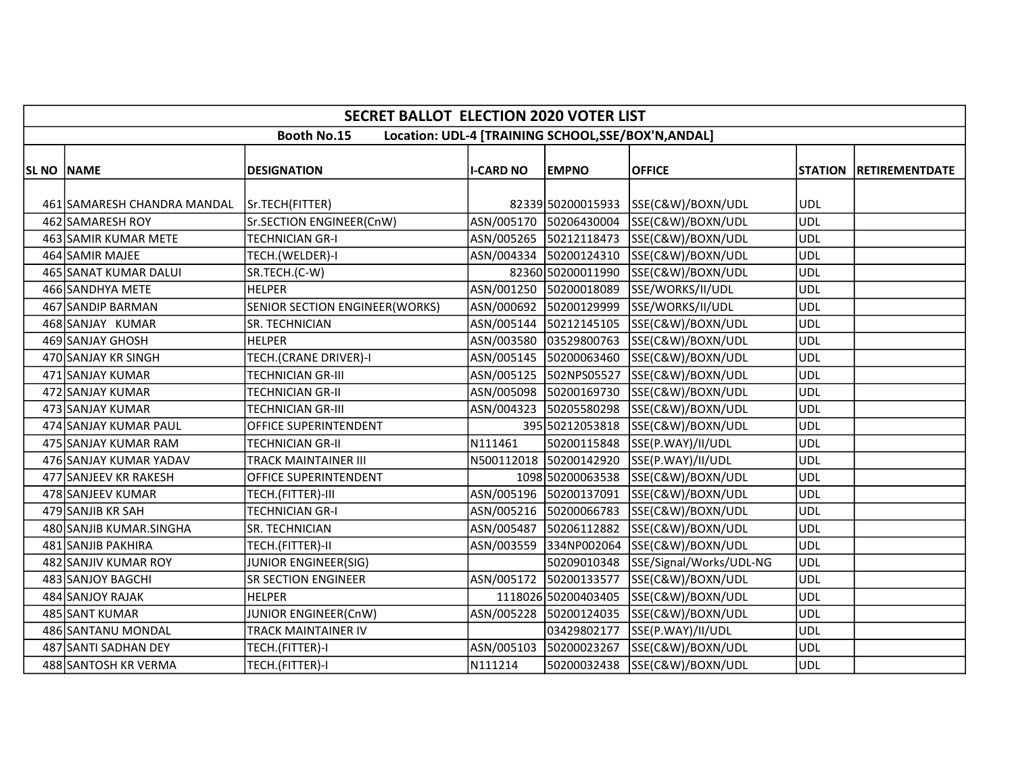|                    | <b>SECRET BALLOT ELECTION 2020 VOTER LIST</b> |                                |                  |                        |                                                     |            |                               |  |
|--------------------|-----------------------------------------------|--------------------------------|------------------|------------------------|-----------------------------------------------------|------------|-------------------------------|--|
|                    |                                               | <b>Booth No.15</b>             |                  |                        | Location: UDL-4 [TRAINING SCHOOL, SSE/BOX'N, ANDAL] |            |                               |  |
| <b>SL NO INAME</b> |                                               | <b>DESIGNATION</b>             | <b>I-CARD NO</b> | <b>EMPNO</b>           | <b>OFFICE</b>                                       |            | <b>STATION RETIREMENTDATE</b> |  |
|                    |                                               |                                |                  |                        |                                                     |            |                               |  |
|                    | 461 SAMARESH CHANDRA MANDAL                   | Sr.TECH(FITTER)                |                  |                        | 82339 50200015933 SSE(C&W)/BOXN/UDL                 | <b>UDL</b> |                               |  |
|                    | 462 SAMARESH ROY                              | Sr.SECTION ENGINEER(CnW)       |                  |                        | ASN/005170 50206430004 SSE(C&W)/BOXN/UDL            | <b>UDL</b> |                               |  |
|                    | 463 SAMIR KUMAR METE                          | <b>TECHNICIAN GR-I</b>         |                  |                        | ASN/005265 50212118473 SSE(C&W)/BOXN/UDL            | <b>UDL</b> |                               |  |
|                    | 464 SAMIR MAJEE                               | TECH.(WELDER)-I                |                  |                        | ASN/004334 50200124310 SSE(C&W)/BOXN/UDL            | <b>UDL</b> |                               |  |
|                    | 465 SANAT KUMAR DALUI                         | SR.TECH.(C-W)                  |                  |                        | 82360 50200011990 SSE(C&W)/BOXN/UDL                 | <b>UDL</b> |                               |  |
|                    | 466 SANDHYA METE                              | <b>HELPER</b>                  |                  |                        | ASN/001250 50200018089 SSE/WORKS/II/UDL             | <b>UDL</b> |                               |  |
|                    | 467 SANDIP BARMAN                             | SENIOR SECTION ENGINEER(WORKS) |                  |                        | ASN/000692 50200129999 SSE/WORKS/II/UDL             | <b>UDL</b> |                               |  |
|                    | 468 SANJAY KUMAR                              | SR. TECHNICIAN                 |                  |                        | ASN/005144  50212145105  SSE(C&W)/BOXN/UDL          | <b>UDL</b> |                               |  |
|                    | 469 SANJAY GHOSH                              | <b>HELPER</b>                  |                  |                        | ASN/003580 03529800763 SSE(C&W)/BOXN/UDL            | <b>UDL</b> |                               |  |
|                    | 470 SANJAY KR SINGH                           | TECH.(CRANE DRIVER)-I          |                  |                        | ASN/005145 50200063460 SSE(C&W)/BOXN/UDL            | <b>UDL</b> |                               |  |
|                    | 471 SANJAY KUMAR                              | TECHNICIAN GR-III              |                  |                        | ASN/005125  502NPS05527  SSE(C&W)/BOXN/UDL          | <b>UDL</b> |                               |  |
|                    | 472 SANJAY KUMAR                              | TECHNICIAN GR-II               |                  |                        | ASN/005098 50200169730 SSE(C&W)/BOXN/UDL            | <b>UDL</b> |                               |  |
|                    | 473 SANJAY KUMAR                              | TECHNICIAN GR-III              | ASN/004323       |                        | 50205580298 SSE(C&W)/BOXN/UDL                       | <b>UDL</b> |                               |  |
|                    | 474 SANJAY KUMAR PAUL                         | OFFICE SUPERINTENDENT          |                  |                        | 395 50212053818 SSE(C&W)/BOXN/UDL                   | <b>UDL</b> |                               |  |
|                    | 475 SANJAY KUMAR RAM                          | <b>TECHNICIAN GR-II</b>        | N111461          |                        | 50200115848 SSE(P.WAY)/II/UDL                       | <b>UDL</b> |                               |  |
|                    | 476 SANJAY KUMAR YADAV                        | TRACK MAINTAINER III           |                  |                        | N500112018 50200142920 SSE(P.WAY)/II/UDL            | <b>UDL</b> |                               |  |
|                    | 477 SANJEEV KR RAKESH                         | OFFICE SUPERINTENDENT          |                  |                        | 1098 50200063538 SSE(C&W)/BOXN/UDL                  | <b>UDL</b> |                               |  |
|                    | 478 SANJEEV KUMAR                             | TECH.(FITTER)-III              |                  |                        | ASN/005196 50200137091 SSE(C&W)/BOXN/UDL            | <b>UDL</b> |                               |  |
|                    | 479 SANJIB KR SAH                             | <b>TECHNICIAN GR-I</b>         |                  |                        | ASN/005216 50200066783 SSE(C&W)/BOXN/UDL            | <b>UDL</b> |                               |  |
|                    | 480 SANJIB KUMAR.SINGHA                       | SR. TECHNICIAN                 |                  |                        | ASN/005487 50206112882 SSE(C&W)/BOXN/UDL            | <b>UDL</b> |                               |  |
|                    | 481 SANJIB PAKHIRA                            | TECH.(FITTER)-II               |                  |                        | ASN/003559 334NP002064 SSE(C&W)/BOXN/UDL            | <b>UDL</b> |                               |  |
|                    | 482 SANJIV KUMAR ROY                          | JUNIOR ENGINEER(SIG)           |                  |                        | 50209010348 SSE/Signal/Works/UDL-NG                 | <b>UDL</b> |                               |  |
|                    | 483 SANJOY BAGCHI                             | <b>SR SECTION ENGINEER</b>     |                  | ASN/005172 50200133577 | SSE(C&W)/BOXN/UDL                                   | <b>UDL</b> |                               |  |
|                    | 484 SANJOY RAJAK                              | <b>HELPER</b>                  |                  |                        | 1118026 50200403405 SSE(C&W)/BOXN/UDL               | <b>UDL</b> |                               |  |
|                    | 485 SANT KUMAR                                | JUNIOR ENGINEER(CnW)           |                  |                        | ASN/005228 50200124035 SSE(C&W)/BOXN/UDL            | <b>UDL</b> |                               |  |
|                    | 486 SANTANU MONDAL                            | TRACK MAINTAINER IV            |                  | 03429802177            | SSE(P.WAY)/II/UDL                                   | <b>UDL</b> |                               |  |
|                    | 487 SANTI SADHAN DEY                          | TECH.(FITTER)-I                |                  |                        | ASN/005103 50200023267 SSE(C&W)/BOXN/UDL            | <b>UDL</b> |                               |  |
|                    | 488 SANTOSH KR VERMA                          | TECH.(FITTER)-I                | N111214          |                        | 50200032438 SSE(C&W)/BOXN/UDL                       | <b>UDL</b> |                               |  |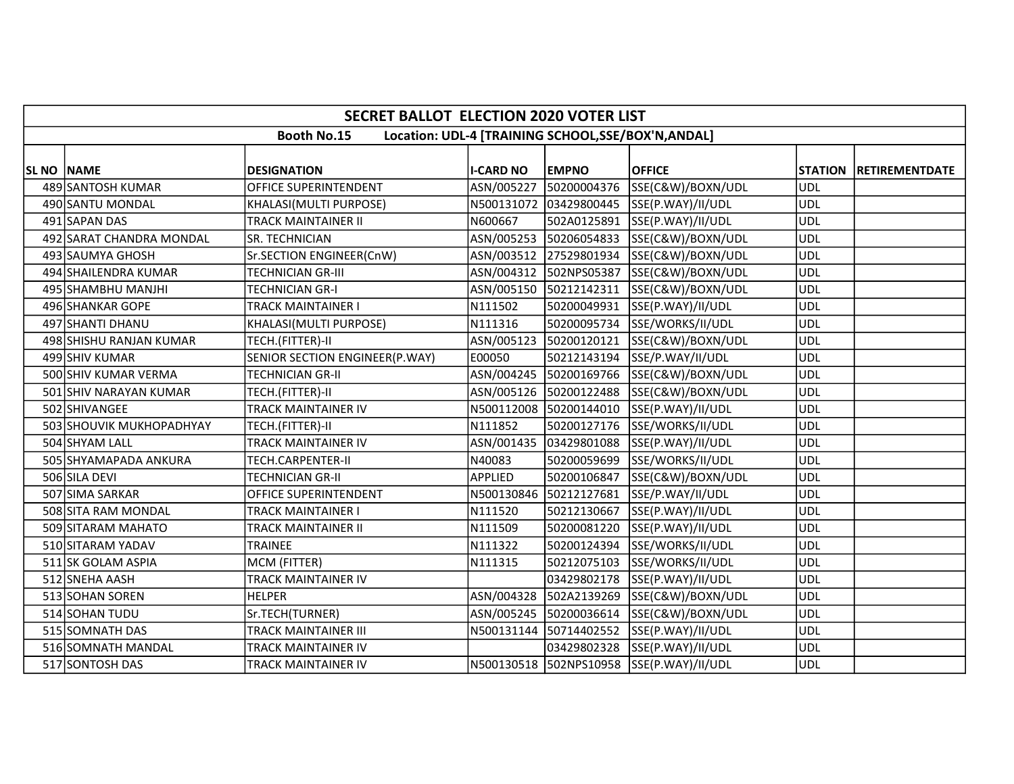|                    | <b>SECRET BALLOT ELECTION 2020 VOTER LIST</b> |                                |                  |                        |                                                     |            |                        |  |
|--------------------|-----------------------------------------------|--------------------------------|------------------|------------------------|-----------------------------------------------------|------------|------------------------|--|
|                    |                                               | <b>Booth No.15</b>             |                  |                        | Location: UDL-4 [TRAINING SCHOOL, SSE/BOX'N, ANDAL] |            |                        |  |
| <b>SL NO INAME</b> |                                               | <b>DESIGNATION</b>             | <b>I-CARD NO</b> | <b>EMPNO</b>           | <b>OFFICE</b>                                       |            | STATION RETIREMENTDATE |  |
|                    | 489 SANTOSH KUMAR                             | OFFICE SUPERINTENDENT          | ASN/005227       | 50200004376            | SSE(C&W)/BOXN/UDL                                   | <b>UDL</b> |                        |  |
|                    | 490 SANTU MONDAL                              | KHALASI(MULTI PURPOSE)         |                  |                        | N500131072 03429800445 SSE(P.WAY)/II/UDL            | <b>UDL</b> |                        |  |
|                    | 491 SAPAN DAS                                 | <b>TRACK MAINTAINER II</b>     | N600667          |                        | 502A0125891 SSE(P.WAY)/II/UDL                       | <b>UDL</b> |                        |  |
|                    | 492 SARAT CHANDRA MONDAL                      | SR. TECHNICIAN                 |                  |                        | ASN/005253 50206054833 SSE(C&W)/BOXN/UDL            | <b>UDL</b> |                        |  |
|                    | 493 SAUMYA GHOSH                              | Sr.SECTION ENGINEER(CnW)       |                  |                        | ASN/003512 27529801934 SSE(C&W)/BOXN/UDL            | <b>UDL</b> |                        |  |
|                    | 494 SHAILENDRA KUMAR                          | <b>TECHNICIAN GR-III</b>       |                  | ASN/004312 502NPS05387 | SSE(C&W)/BOXN/UDL                                   | <b>UDL</b> |                        |  |
|                    | 495 SHAMBHU MANJHI                            | <b>TECHNICIAN GR-I</b>         |                  | ASN/005150 50212142311 | SSE(C&W)/BOXN/UDL                                   | <b>UDL</b> |                        |  |
|                    | 496 SHANKAR GOPE                              | <b>TRACK MAINTAINER I</b>      | N111502          | 50200049931            | SSE(P.WAY)/II/UDL                                   | <b>UDL</b> |                        |  |
|                    | 497 SHANTI DHANU                              | KHALASI(MULTI PURPOSE)         | N111316          |                        | 50200095734 SSE/WORKS/II/UDL                        | <b>UDL</b> |                        |  |
|                    | 498 SHISHU RANJAN KUMAR                       | TECH.(FITTER)-II               | ASN/005123       | 50200120121            | SSE(C&W)/BOXN/UDL                                   | <b>UDL</b> |                        |  |
|                    | 499 SHIV KUMAR                                | SENIOR SECTION ENGINEER(P.WAY) | E00050           |                        | 50212143194 SSE/P.WAY/II/UDL                        | <b>UDL</b> |                        |  |
|                    | 500 SHIV KUMAR VERMA                          | <b>TECHNICIAN GR-II</b>        |                  |                        | ASN/004245 50200169766 SSE(C&W)/BOXN/UDL            | <b>UDL</b> |                        |  |
|                    | 501 SHIV NARAYAN KUMAR                        | TECH.(FITTER)-II               |                  | ASN/005126 50200122488 | SSE(C&W)/BOXN/UDL                                   | <b>UDL</b> |                        |  |
|                    | 502 SHIVANGEE                                 | TRACK MAINTAINER IV            |                  | N500112008 50200144010 | SSE(P.WAY)/II/UDL                                   | <b>UDL</b> |                        |  |
|                    | 503 SHOUVIK MUKHOPADHYAY                      | TECH.(FITTER)-II               | N111852          |                        | 50200127176 SSE/WORKS/II/UDL                        | <b>UDL</b> |                        |  |
|                    | 504 SHYAM LALL                                | <b>TRACK MAINTAINER IV</b>     |                  | ASN/001435 03429801088 | SSE(P.WAY)/II/UDL                                   | <b>UDL</b> |                        |  |
|                    | 505 SHYAMAPADA ANKURA                         | TECH.CARPENTER-II              | N40083           |                        | 50200059699 SSE/WORKS/II/UDL                        | <b>UDL</b> |                        |  |
|                    | 506 SILA DEVI                                 | TECHNICIAN GR-II               | <b>APPLIED</b>   | 50200106847            | SSE(C&W)/BOXN/UDL                                   | <b>UDL</b> |                        |  |
|                    | 507 SIMA SARKAR                               | OFFICE SUPERINTENDENT          |                  | N500130846 50212127681 | SSE/P.WAY/II/UDL                                    | <b>UDL</b> |                        |  |
|                    | 508 SITA RAM MONDAL                           | TRACK MAINTAINER I             | N111520          | 50212130667            | SSE(P.WAY)/II/UDL                                   | <b>UDL</b> |                        |  |
|                    | 509 SITARAM MAHATO                            | TRACK MAINTAINER II            | N111509          |                        | 50200081220 SSE(P.WAY)/II/UDL                       | <b>UDL</b> |                        |  |
|                    | 510 SITARAM YADAV                             | <b>TRAINEE</b>                 | N111322          | 50200124394            | SSE/WORKS/II/UDL                                    | <b>UDL</b> |                        |  |
|                    | 511 SK GOLAM ASPIA                            | MCM (FITTER)                   | N111315          | 50212075103            | SSE/WORKS/II/UDL                                    | <b>UDL</b> |                        |  |
|                    | 512 SNEHA AASH                                | <b>TRACK MAINTAINER IV</b>     |                  | 03429802178            | SSE(P.WAY)/II/UDL                                   | <b>UDL</b> |                        |  |
|                    | 513 SOHAN SOREN                               | <b>HELPER</b>                  |                  |                        | ASN/004328 502A2139269 SSE(C&W)/BOXN/UDL            | <b>UDL</b> |                        |  |
|                    | 514 SOHAN TUDU                                | Sr.TECH(TURNER)                |                  |                        | ASN/005245 50200036614 SSE(C&W)/BOXN/UDL            | <b>UDL</b> |                        |  |
|                    | 515 SOMNATH DAS                               | <b>TRACK MAINTAINER III</b>    |                  |                        | N500131144 50714402552 SSE(P.WAY)/II/UDL            | <b>UDL</b> |                        |  |
|                    | 516 SOMNATH MANDAL                            | <b>TRACK MAINTAINER IV</b>     |                  |                        | 03429802328 SSE(P.WAY)/II/UDL                       | <b>UDL</b> |                        |  |
|                    | 517 SONTOSH DAS                               | TRACK MAINTAINER IV            |                  |                        | N500130518 502NPS10958 SSE(P.WAY)/II/UDL            | <b>UDL</b> |                        |  |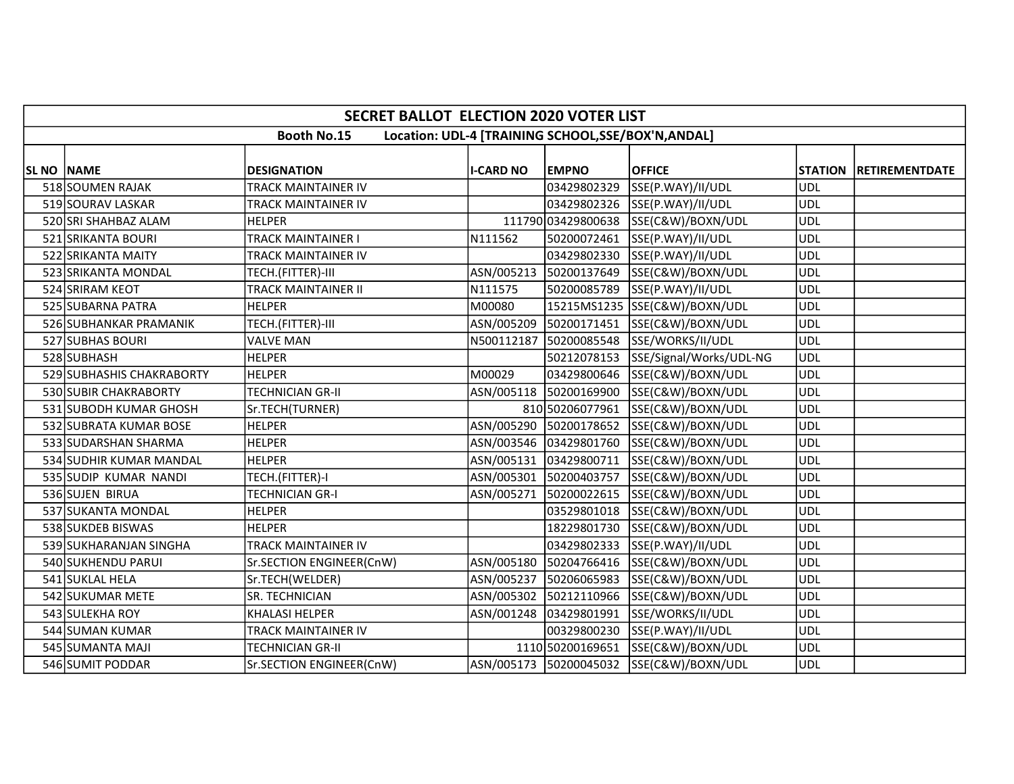|                    | <b>SECRET BALLOT ELECTION 2020 VOTER LIST</b> |                            |                  |                        |                                                     |            |                        |  |
|--------------------|-----------------------------------------------|----------------------------|------------------|------------------------|-----------------------------------------------------|------------|------------------------|--|
|                    |                                               | <b>Booth No.15</b>         |                  |                        | Location: UDL-4 [TRAINING SCHOOL, SSE/BOX'N, ANDAL] |            |                        |  |
| <b>SL NO  NAME</b> |                                               | <b>DESIGNATION</b>         | <b>I-CARD NO</b> | <b>EMPNO</b>           | <b>OFFICE</b>                                       |            | STATION RETIREMENTDATE |  |
|                    | 518 SOUMEN RAJAK                              | TRACK MAINTAINER IV        |                  | 03429802329            | SSE(P.WAY)/II/UDL                                   | <b>UDL</b> |                        |  |
|                    | 519 SOURAV LASKAR                             | TRACK MAINTAINER IV        |                  |                        | 03429802326 SSE(P.WAY)/II/UDL                       | <b>UDL</b> |                        |  |
|                    | 520 SRI SHAHBAZ ALAM                          | <b>HELPER</b>              |                  |                        | 111790 03429800638 SSE(C&W)/BOXN/UDL                | <b>UDL</b> |                        |  |
|                    | 521 SRIKANTA BOURI                            | TRACK MAINTAINER I         | N111562          | 50200072461            | SSE(P.WAY)/II/UDL                                   | UDL        |                        |  |
|                    | 522 SRIKANTA MAITY                            | TRACK MAINTAINER IV        |                  |                        | 03429802330 SSE(P.WAY)/II/UDL                       | <b>UDL</b> |                        |  |
|                    | 523 SRIKANTA MONDAL                           | TECH.(FITTER)-III          |                  |                        | ASN/005213 50200137649 SSE(C&W)/BOXN/UDL            | UDL        |                        |  |
|                    | 524 SRIRAM KEOT                               | <b>TRACK MAINTAINER II</b> | N111575          | 50200085789            | SSE(P.WAY)/II/UDL                                   | <b>UDL</b> |                        |  |
|                    | 525 SUBARNA PATRA                             | <b>HELPER</b>              | M00080           |                        | 15215MS1235 SSE(C&W)/BOXN/UDL                       | UDL        |                        |  |
|                    | 526 SUBHANKAR PRAMANIK                        | TECH.(FITTER)-III          | ASN/005209       | 50200171451            | SSE(C&W)/BOXN/UDL                                   | <b>UDL</b> |                        |  |
|                    | 527 SUBHAS BOURI                              | <b>VALVE MAN</b>           | N500112187       | 50200085548            | SSE/WORKS/II/UDL                                    | UDL        |                        |  |
|                    | 528 SUBHASH                                   | <b>HELPER</b>              |                  | 50212078153            | SSE/Signal/Works/UDL-NG                             | <b>UDL</b> |                        |  |
|                    | 529 SUBHASHIS CHAKRABORTY                     | <b>HELPER</b>              | M00029           | 03429800646            | SSE(C&W)/BOXN/UDL                                   | <b>UDL</b> |                        |  |
|                    | 530 SUBIR CHAKRABORTY                         | TECHNICIAN GR-II           |                  |                        | ASN/005118 50200169900 SSE(C&W)/BOXN/UDL            | <b>UDL</b> |                        |  |
|                    | 531 SUBODH KUMAR GHOSH                        | Sr.TECH(TURNER)            |                  | 810 50206077961        | SSE(C&W)/BOXN/UDL                                   | <b>UDL</b> |                        |  |
|                    | 532 SUBRATA KUMAR BOSE                        | <b>HELPER</b>              |                  |                        | ASN/005290 50200178652 SSE(C&W)/BOXN/UDL            | <b>UDL</b> |                        |  |
|                    | 533 SUDARSHAN SHARMA                          | <b>HELPER</b>              |                  | ASN/003546 03429801760 | SSE(C&W)/BOXN/UDL                                   | UDL        |                        |  |
|                    | 534 SUDHIR KUMAR MANDAL                       | <b>HELPER</b>              |                  |                        | ASN/005131 03429800711 SSE(C&W)/BOXN/UDL            | <b>UDL</b> |                        |  |
|                    | 535 SUDIP KUMAR NANDI                         | TECH.(FITTER)-I            |                  | ASN/005301 50200403757 | SSE(C&W)/BOXN/UDL                                   | <b>UDL</b> |                        |  |
|                    | 536 SUJEN BIRUA                               | TECHNICIAN GR-I            |                  |                        | ASN/005271 50200022615 SSE(C&W)/BOXN/UDL            | UDL        |                        |  |
|                    | 537 SUKANTA MONDAL                            | <b>HELPER</b>              |                  | 03529801018            | SSE(C&W)/BOXN/UDL                                   | UDL        |                        |  |
|                    | 538 SUKDEB BISWAS                             | <b>HELPER</b>              |                  |                        | 18229801730 SSE(C&W)/BOXN/UDL                       | <b>UDL</b> |                        |  |
|                    | 539 SUKHARANJAN SINGHA                        | TRACK MAINTAINER IV        |                  |                        | 03429802333 SSE(P.WAY)/II/UDL                       | <b>UDL</b> |                        |  |
|                    | 540 SUKHENDU PARUI                            | Sr.SECTION ENGINEER(CnW)   | ASN/005180       | 50204766416            | SSE(C&W)/BOXN/UDL                                   | <b>UDL</b> |                        |  |
|                    | 541 SUKLAL HELA                               | Sr.TECH(WELDER)            | ASN/005237       | 50206065983            | SSE(C&W)/BOXN/UDL                                   | <b>UDL</b> |                        |  |
|                    | 542 SUKUMAR METE                              | SR. TECHNICIAN             |                  | ASN/005302 50212110966 | SSE(C&W)/BOXN/UDL                                   | <b>UDL</b> |                        |  |
|                    | 543 SULEKHA ROY                               | <b>KHALASI HELPER</b>      |                  | ASN/001248 03429801991 | SSE/WORKS/II/UDL                                    | <b>UDL</b> |                        |  |
|                    | 544 SUMAN KUMAR                               | TRACK MAINTAINER IV        |                  | 00329800230            | SSE(P.WAY)/II/UDL                                   | <b>UDL</b> |                        |  |
|                    | 545 SUMANTA MAJI                              | TECHNICIAN GR-II           |                  | 1110 50200169651       | SSE(C&W)/BOXN/UDL                                   | <b>UDL</b> |                        |  |
|                    | 546 SUMIT PODDAR                              | Sr.SECTION ENGINEER(CnW)   |                  |                        | ASN/005173 50200045032 SSE(C&W)/BOXN/UDL            | <b>UDL</b> |                        |  |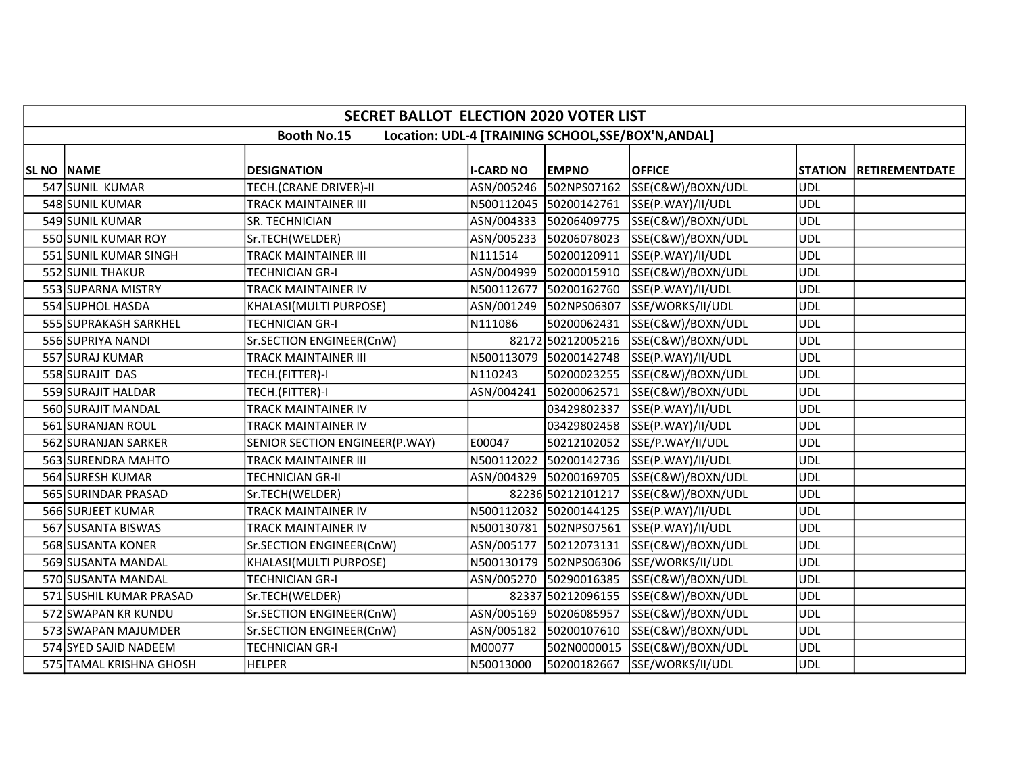|                   | <b>SECRET BALLOT ELECTION 2020 VOTER LIST</b> |                                |                  |                        |                                                     |                |                       |  |
|-------------------|-----------------------------------------------|--------------------------------|------------------|------------------------|-----------------------------------------------------|----------------|-----------------------|--|
|                   |                                               | <b>Booth No.15</b>             |                  |                        | Location: UDL-4 [TRAINING SCHOOL, SSE/BOX'N, ANDAL] |                |                       |  |
|                   |                                               |                                |                  |                        |                                                     |                |                       |  |
| <b>SL NO NAME</b> |                                               | <b>DESIGNATION</b>             | <b>I-CARD NO</b> | <b>EMPNO</b>           | <b>OFFICE</b>                                       | <b>STATION</b> | <b>RETIREMENTDATE</b> |  |
|                   | 547 SUNIL KUMAR                               | TECH.(CRANE DRIVER)-II         | ASN/005246       | 502NPS07162            | SSE(C&W)/BOXN/UDL                                   | <b>UDL</b>     |                       |  |
|                   | 548 SUNIL KUMAR                               | <b>TRACK MAINTAINER III</b>    |                  | N500112045 50200142761 | SSE(P.WAY)/II/UDL                                   | <b>UDL</b>     |                       |  |
|                   | 549 SUNIL KUMAR                               | SR. TECHNICIAN                 |                  | ASN/004333 50206409775 | SSE(C&W)/BOXN/UDL                                   | <b>UDL</b>     |                       |  |
|                   | 550 SUNIL KUMAR ROY                           | Sr.TECH(WELDER)                |                  | ASN/005233 50206078023 | SSE(C&W)/BOXN/UDL                                   | <b>UDL</b>     |                       |  |
|                   | 551 SUNIL KUMAR SINGH                         | <b>TRACK MAINTAINER III</b>    | N111514          | 50200120911            | SSE(P.WAY)/II/UDL                                   | <b>UDL</b>     |                       |  |
|                   | 552 SUNIL THAKUR                              | <b>TECHNICIAN GR-I</b>         | ASN/004999       |                        | 50200015910 SSE(C&W)/BOXN/UDL                       | <b>UDL</b>     |                       |  |
|                   | 553 SUPARNA MISTRY                            | TRACK MAINTAINER IV            | N500112677       | 50200162760            | SSE(P.WAY)/II/UDL                                   | <b>UDL</b>     |                       |  |
|                   | 554 SUPHOL HASDA                              | KHALASI(MULTI PURPOSE)         |                  | ASN/001249 502NPS06307 | SSE/WORKS/II/UDL                                    | <b>UDL</b>     |                       |  |
|                   | 555 SUPRAKASH SARKHEL                         | <b>TECHNICIAN GR-I</b>         | N111086          | 50200062431            | SSE(C&W)/BOXN/UDL                                   | <b>UDL</b>     |                       |  |
|                   | 556 SUPRIYA NANDI                             | Sr.SECTION ENGINEER(CnW)       |                  | 82172 50212005216      | SSE(C&W)/BOXN/UDL                                   | <b>UDL</b>     |                       |  |
|                   | 557 SURAJ KUMAR                               | <b>TRACK MAINTAINER III</b>    |                  | N500113079 50200142748 | SSE(P.WAY)/II/UDL                                   | <b>UDL</b>     |                       |  |
|                   | 558 SURAJIT DAS                               | TECH.(FITTER)-I                | N110243          | 50200023255            | SSE(C&W)/BOXN/UDL                                   | <b>UDL</b>     |                       |  |
|                   | 559 SURAJIT HALDAR                            | TECH.(FITTER)-I                | ASN/004241       | 50200062571            | SSE(C&W)/BOXN/UDL                                   | <b>UDL</b>     |                       |  |
|                   | 560 SURAJIT MANDAL                            | TRACK MAINTAINER IV            |                  | 03429802337            | SSE(P.WAY)/II/UDL                                   | <b>UDL</b>     |                       |  |
|                   | 561 SURANJAN ROUL                             | TRACK MAINTAINER IV            |                  |                        | 03429802458 SSE(P.WAY)/II/UDL                       | <b>UDL</b>     |                       |  |
|                   | 562 SURANJAN SARKER                           | SENIOR SECTION ENGINEER(P.WAY) | E00047           | 50212102052            | SSE/P.WAY/II/UDL                                    | UDL            |                       |  |
|                   | 563 SURENDRA MAHTO                            | <b>TRACK MAINTAINER III</b>    |                  |                        | N500112022 50200142736 SSE(P.WAY)/II/UDL            | <b>UDL</b>     |                       |  |
|                   | 564 SURESH KUMAR                              | <b>TECHNICIAN GR-II</b>        | ASN/004329       |                        | 50200169705 SSE(C&W)/BOXN/UDL                       | <b>UDL</b>     |                       |  |
|                   | 565 SURINDAR PRASAD                           | Sr.TECH(WELDER)                |                  | 82236 50212101217      | SSE(C&W)/BOXN/UDL                                   | <b>UDL</b>     |                       |  |
|                   | 566 SURJEET KUMAR                             | <b>TRACK MAINTAINER IV</b>     |                  | N500112032 50200144125 | SSE(P.WAY)/II/UDL                                   | <b>UDL</b>     |                       |  |
|                   | 567 SUSANTA BISWAS                            | TRACK MAINTAINER IV            |                  | N500130781 502NPS07561 | SSE(P.WAY)/II/UDL                                   | <b>UDL</b>     |                       |  |
|                   | 568 SUSANTA KONER                             | Sr.SECTION ENGINEER(CnW)       | ASN/005177       | 50212073131            | SSE(C&W)/BOXN/UDL                                   | <b>UDL</b>     |                       |  |
|                   | 569 SUSANTA MANDAL                            | KHALASI(MULTI PURPOSE)         | N500130179       | 502NPS06306            | SSE/WORKS/II/UDL                                    | <b>UDL</b>     |                       |  |
|                   | 570 SUSANTA MANDAL                            | <b>TECHNICIAN GR-I</b>         | ASN/005270       | 50290016385            | SSE(C&W)/BOXN/UDL                                   | <b>UDL</b>     |                       |  |
|                   | 571 SUSHIL KUMAR PRASAD                       | Sr.TECH(WELDER)                |                  | 82337 50212096155      | SSE(C&W)/BOXN/UDL                                   | <b>UDL</b>     |                       |  |
|                   | 572 SWAPAN KR KUNDU                           | Sr.SECTION ENGINEER(CnW)       |                  | ASN/005169 50206085957 | SSE(C&W)/BOXN/UDL                                   | <b>UDL</b>     |                       |  |
|                   | 573 SWAPAN MAJUMDER                           | Sr.SECTION ENGINEER(CnW)       | ASN/005182       | 50200107610            | SSE(C&W)/BOXN/UDL                                   | <b>UDL</b>     |                       |  |
|                   | 574 SYED SAJID NADEEM                         | <b>TECHNICIAN GR-I</b>         | M00077           |                        | 502N0000015 SSE(C&W)/BOXN/UDL                       | <b>UDL</b>     |                       |  |
|                   | 575 TAMAL KRISHNA GHOSH                       | <b>HELPER</b>                  | N50013000        |                        | 50200182667 SSE/WORKS/II/UDL                        | <b>UDL</b>     |                       |  |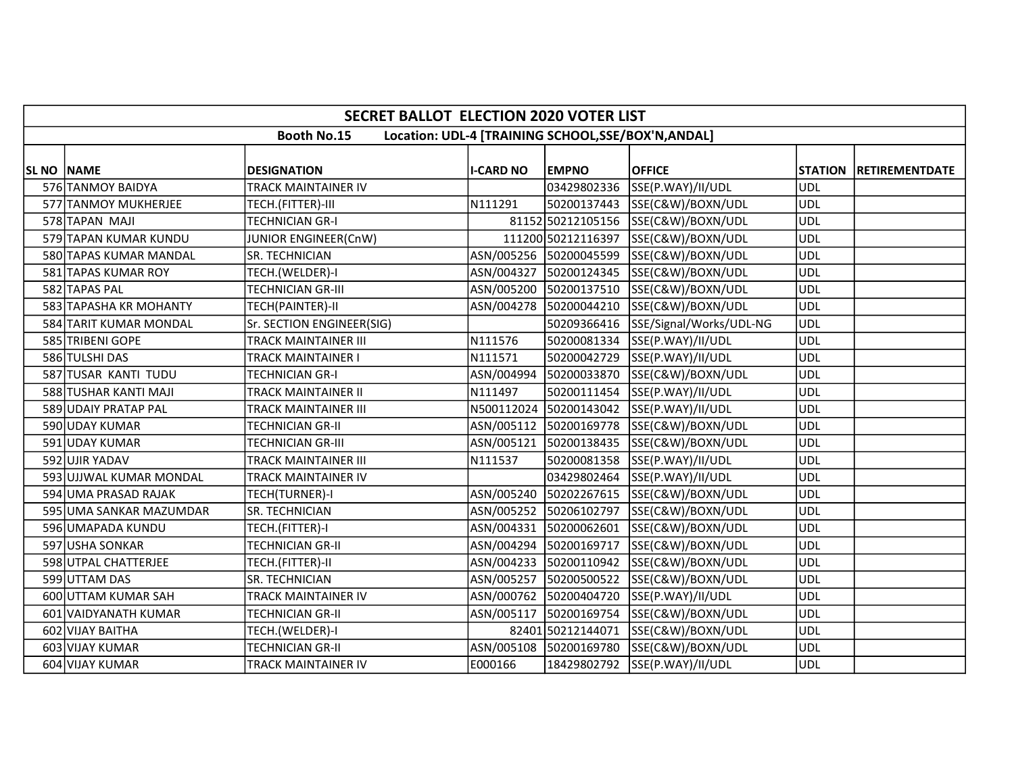|                    | <b>SECRET BALLOT ELECTION 2020 VOTER LIST</b> |                             |                  |                        |                                                     |                |                       |  |
|--------------------|-----------------------------------------------|-----------------------------|------------------|------------------------|-----------------------------------------------------|----------------|-----------------------|--|
|                    |                                               | <b>Booth No.15</b>          |                  |                        | Location: UDL-4 [TRAINING SCHOOL, SSE/BOX'N, ANDAL] |                |                       |  |
| <b>SL NO INAME</b> |                                               | <b>DESIGNATION</b>          | <b>I-CARD NO</b> | <b>EMPNO</b>           | <b>OFFICE</b>                                       | <b>STATION</b> | <b>RETIREMENTDATE</b> |  |
|                    | 576 TANMOY BAIDYA                             | TRACK MAINTAINER IV         |                  | 03429802336            | SSE(P.WAY)/II/UDL                                   | <b>UDL</b>     |                       |  |
|                    | 577 TANMOY MUKHERJEE                          | TECH.(FITTER)-III           | N111291          | 50200137443            | SSE(C&W)/BOXN/UDL                                   | <b>UDL</b>     |                       |  |
|                    | 578 TAPAN MAJI                                | <b>TECHNICIAN GR-I</b>      |                  |                        | 81152 50212105156 SSE(C&W)/BOXN/UDL                 | <b>UDL</b>     |                       |  |
|                    | 579 TAPAN KUMAR KUNDU                         | JUNIOR ENGINEER(CnW)        |                  |                        | 111200 50212116397 SSE(C&W)/BOXN/UDL                | <b>UDL</b>     |                       |  |
|                    | 580 TAPAS KUMAR MANDAL                        | SR. TECHNICIAN              |                  | ASN/005256 50200045599 | SSE(C&W)/BOXN/UDL                                   | UDL            |                       |  |
|                    | 581 TAPAS KUMAR ROY                           | TECH.(WELDER)-I             |                  |                        | ASN/004327 50200124345 SSE(C&W)/BOXN/UDL            | <b>UDL</b>     |                       |  |
|                    | 582 TAPAS PAL                                 | <b>TECHNICIAN GR-III</b>    | ASN/005200       | 50200137510            | SSE(C&W)/BOXN/UDL                                   | <b>UDL</b>     |                       |  |
|                    | 583 TAPASHA KR MOHANTY                        | TECH(PAINTER)-II            |                  | ASN/004278 50200044210 | SSE(C&W)/BOXN/UDL                                   | <b>UDL</b>     |                       |  |
|                    | 584 TARIT KUMAR MONDAL                        | Sr. SECTION ENGINEER(SIG)   |                  | 50209366416            | SSE/Signal/Works/UDL-NG                             | <b>UDL</b>     |                       |  |
|                    | 585 TRIBENI GOPE                              | <b>TRACK MAINTAINER III</b> | N111576          |                        | 50200081334 SSE(P.WAY)/II/UDL                       | <b>UDL</b>     |                       |  |
|                    | 586 TULSHI DAS                                | <b>TRACK MAINTAINER I</b>   | N111571          |                        | 50200042729 SSE(P.WAY)/II/UDL                       | <b>UDL</b>     |                       |  |
|                    | 587 TUSAR KANTI TUDU                          | <b>TECHNICIAN GR-I</b>      | ASN/004994       | 50200033870            | SSE(C&W)/BOXN/UDL                                   | <b>UDL</b>     |                       |  |
|                    | 588 TUSHAR KANTI MAJI                         | <b>TRACK MAINTAINER II</b>  | N111497          | 50200111454            | SSE(P.WAY)/II/UDL                                   | <b>UDL</b>     |                       |  |
|                    | 589 UDAIY PRATAP PAL                          | <b>TRACK MAINTAINER III</b> | N500112024       | 50200143042            | SSE(P.WAY)/II/UDL                                   | <b>UDL</b>     |                       |  |
|                    | 590 UDAY KUMAR                                | <b>TECHNICIAN GR-II</b>     |                  | ASN/005112 50200169778 | SSE(C&W)/BOXN/UDL                                   | <b>UDL</b>     |                       |  |
|                    | 591 UDAY KUMAR                                | <b>TECHNICIAN GR-III</b>    |                  | ASN/005121 50200138435 | SSE(C&W)/BOXN/UDL                                   | <b>UDL</b>     |                       |  |
|                    | 592 UJIR YADAV                                | <b>TRACK MAINTAINER III</b> | N111537          |                        | 50200081358 SSE(P.WAY)/II/UDL                       | <b>UDL</b>     |                       |  |
|                    | 593 UJJWAL KUMAR MONDAL                       | TRACK MAINTAINER IV         |                  |                        | 03429802464 SSE(P.WAY)/II/UDL                       | <b>UDL</b>     |                       |  |
|                    | 594 UMA PRASAD RAJAK                          | TECH(TURNER)-I              |                  |                        | ASN/005240 50202267615 SSE(C&W)/BOXN/UDL            | <b>UDL</b>     |                       |  |
|                    | 595 UMA SANKAR MAZUMDAR                       | <b>SR. TECHNICIAN</b>       |                  | ASN/005252 50206102797 | SSE(C&W)/BOXN/UDL                                   | <b>UDL</b>     |                       |  |
|                    | 596 UMAPADA KUNDU                             | TECH.(FITTER)-I             |                  | ASN/004331 50200062601 | SSE(C&W)/BOXN/UDL                                   | <b>UDL</b>     |                       |  |
|                    | 597 USHA SONKAR                               | <b>TECHNICIAN GR-II</b>     |                  | ASN/004294 50200169717 | SSE(C&W)/BOXN/UDL                                   | UDL            |                       |  |
|                    | 598 UTPAL CHATTERJEE                          | TECH.(FITTER)-II            |                  | ASN/004233 50200110942 | SSE(C&W)/BOXN/UDL                                   | <b>UDL</b>     |                       |  |
|                    | 599 UTTAM DAS                                 | <b>SR. TECHNICIAN</b>       | ASN/005257       | 50200500522            | SSE(C&W)/BOXN/UDL                                   | <b>UDL</b>     |                       |  |
|                    | 600 UTTAM KUMAR SAH                           | TRACK MAINTAINER IV         |                  |                        | ASN/000762 50200404720 SSE(P.WAY)/II/UDL            | <b>UDL</b>     |                       |  |
|                    | 601 VAIDYANATH KUMAR                          | TECHNICIAN GR-II            |                  |                        | ASN/005117 50200169754 SSE(C&W)/BOXN/UDL            | <b>UDL</b>     |                       |  |
|                    | 602 VIJAY BAITHA                              | TECH.(WELDER)-I             |                  | 82401 50212144071      | SSE(C&W)/BOXN/UDL                                   | <b>UDL</b>     |                       |  |
|                    | 603 VIJAY KUMAR                               | <b>TECHNICIAN GR-II</b>     | ASN/005108       | 50200169780            | SSE(C&W)/BOXN/UDL                                   | <b>UDL</b>     |                       |  |
|                    | 604 VIJAY KUMAR                               | TRACK MAINTAINER IV         | E000166          |                        | 18429802792 SSE(P.WAY)/II/UDL                       | <b>UDL</b>     |                       |  |